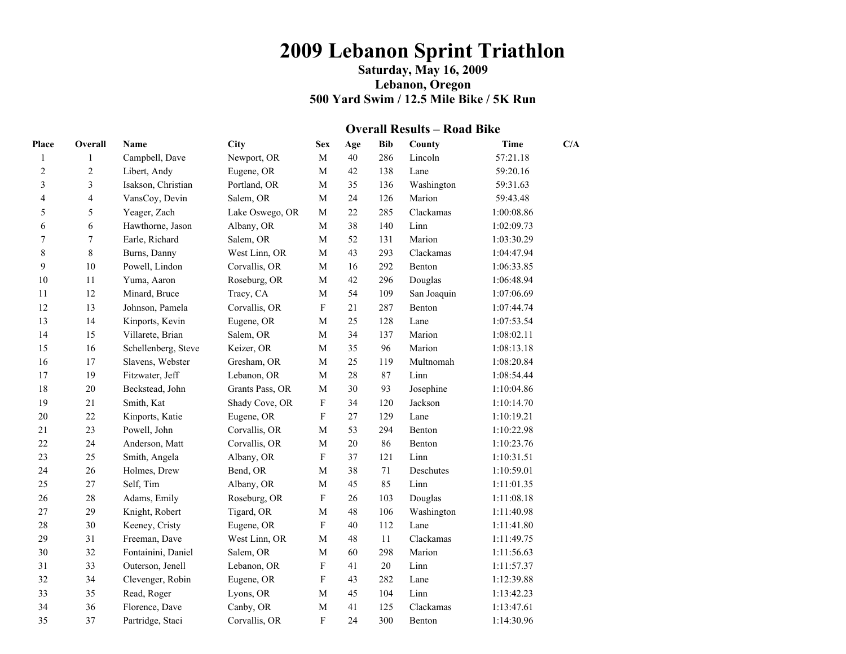# **2009 Lebanon Sprint Triathlon**

### **Saturday, May 16, 2009 Lebanon, Oregon 500 Yard Swim / 12.5 Mile Bike / 5K Run**

#### **Overall Results – Road Bike**

| Place                   | Overall                 | Name                | <b>City</b>     | <b>Sex</b>                | Age    | <b>Bib</b> | County      | <b>Time</b> | C/A |
|-------------------------|-------------------------|---------------------|-----------------|---------------------------|--------|------------|-------------|-------------|-----|
| $\mathbf{1}$            | 1                       | Campbell, Dave      | Newport, OR     | $\mathbf{M}$              | 40     | 286        | Lincoln     | 57:21.18    |     |
| $\overline{2}$          | 2                       | Libert, Andy        | Eugene, OR      | M                         | 42     | 138        | Lane        | 59:20.16    |     |
| 3                       | 3                       | Isakson, Christian  | Portland, OR    | $\mathbf{M}$              | 35     | 136        | Washington  | 59:31.63    |     |
| $\overline{\mathbf{4}}$ | $\overline{\mathbf{4}}$ | VansCoy, Devin      | Salem, OR       | $\mathbf{M}$              | 24     | 126        | Marion      | 59:43.48    |     |
| 5                       | 5                       | Yeager, Zach        | Lake Oswego, OR | M                         | 22     | 285        | Clackamas   | 1:00:08.86  |     |
| 6                       | 6                       | Hawthorne, Jason    | Albany, OR      | M                         | 38     | 140        | Linn        | 1:02:09.73  |     |
| $\sqrt{ }$              | $\boldsymbol{7}$        | Earle, Richard      | Salem, OR       | M                         | 52     | 131        | Marion      | 1:03:30.29  |     |
| $\,$ $\,$               | 8                       | Burns, Danny        | West Linn, OR   | $\mathbf M$               | 43     | 293        | Clackamas   | 1:04:47.94  |     |
| 9                       | 10                      | Powell, Lindon      | Corvallis, OR   | M                         | 16     | 292        | Benton      | 1:06:33.85  |     |
| $10\,$                  | 11                      | Yuma, Aaron         | Roseburg, OR    | $\mathbf M$               | 42     | 296        | Douglas     | 1:06:48.94  |     |
| 11                      | 12                      | Minard, Bruce       | Tracy, CA       | M                         | 54     | 109        | San Joaquin | 1:07:06.69  |     |
| 12                      | 13                      | Johnson, Pamela     | Corvallis, OR   | $\boldsymbol{\mathrm{F}}$ | 21     | 287        | Benton      | 1:07:44.74  |     |
| 13                      | 14                      | Kinports, Kevin     | Eugene, OR      | $\mathbf M$               | 25     | 128        | Lane        | 1:07:53.54  |     |
| 14                      | 15                      | Villarete, Brian    | Salem, OR       | $\mathbf M$               | 34     | 137        | Marion      | 1:08:02.11  |     |
| 15                      | 16                      | Schellenberg, Steve | Keizer, OR      | $\mathbf{M}$              | 35     | 96         | Marion      | 1:08:13.18  |     |
| 16                      | 17                      | Slavens, Webster    | Gresham, OR     | $\mathbf M$               | 25     | 119        | Multnomah   | 1:08:20.84  |     |
| 17                      | 19                      | Fitzwater, Jeff     | Lebanon, OR     | M                         | 28     | 87         | Linn        | 1:08:54.44  |     |
| 18                      | 20                      | Beckstead, John     | Grants Pass, OR | M                         | 30     | 93         | Josephine   | 1:10:04.86  |     |
| 19                      | 21                      | Smith, Kat          | Shady Cove, OR  | $\mathbf F$               | 34     | 120        | Jackson     | 1:10:14.70  |     |
| 20                      | 22                      | Kinports, Katie     | Eugene, OR      | $\mathbf F$               | 27     | 129        | Lane        | 1:10:19.21  |     |
| 21                      | 23                      | Powell, John        | Corvallis, OR   | $\mathbf M$               | 53     | 294        | Benton      | 1:10:22.98  |     |
| 22                      | 24                      | Anderson, Matt      | Corvallis, OR   | $\mathbf M$               | $20\,$ | 86         | Benton      | 1:10:23.76  |     |
| 23                      | 25                      | Smith, Angela       | Albany, OR      | $\mathbf F$               | 37     | 121        | Linn        | 1:10:31.51  |     |
| 24                      | 26                      | Holmes, Drew        | Bend, OR        | $\mathbf M$               | 38     | 71         | Deschutes   | 1:10:59.01  |     |
| 25                      | 27                      | Self, Tim           | Albany, OR      | $\mathbf M$               | 45     | 85         | Linn        | 1:11:01.35  |     |
| 26                      | 28                      | Adams, Emily        | Roseburg, OR    | $\mathbf F$               | 26     | 103        | Douglas     | 1:11:08.18  |     |
| $27\,$                  | 29                      | Knight, Robert      | Tigard, OR      | $\mathbf M$               | 48     | 106        | Washington  | 1:11:40.98  |     |
| $28\,$                  | 30                      | Keeney, Cristy      | Eugene, OR      | $\mathbf F$               | 40     | 112        | Lane        | 1:11:41.80  |     |
| 29                      | 31                      | Freeman, Dave       | West Linn, OR   | M                         | 48     | 11         | Clackamas   | 1:11:49.75  |     |
| 30                      | 32                      | Fontainini, Daniel  | Salem, OR       | M                         | 60     | 298        | Marion      | 1:11:56.63  |     |
| 31                      | 33                      | Outerson, Jenell    | Lebanon, OR     | $\mathbf F$               | 41     | 20         | Linn        | 1:11:57.37  |     |
| 32                      | 34                      | Clevenger, Robin    | Eugene, OR      | $\mathbf F$               | 43     | 282        | Lane        | 1:12:39.88  |     |
| 33                      | 35                      | Read, Roger         | Lyons, OR       | M                         | 45     | 104        | Linn        | 1:13:42.23  |     |
| 34                      | 36                      | Florence, Dave      | Canby, OR       | $\mathbf M$               | 41     | 125        | Clackamas   | 1:13:47.61  |     |
| 35                      | 37                      | Partridge, Staci    | Corvallis, OR   | $\mathbf{F}$              | 24     | 300        | Benton      | 1:14:30.96  |     |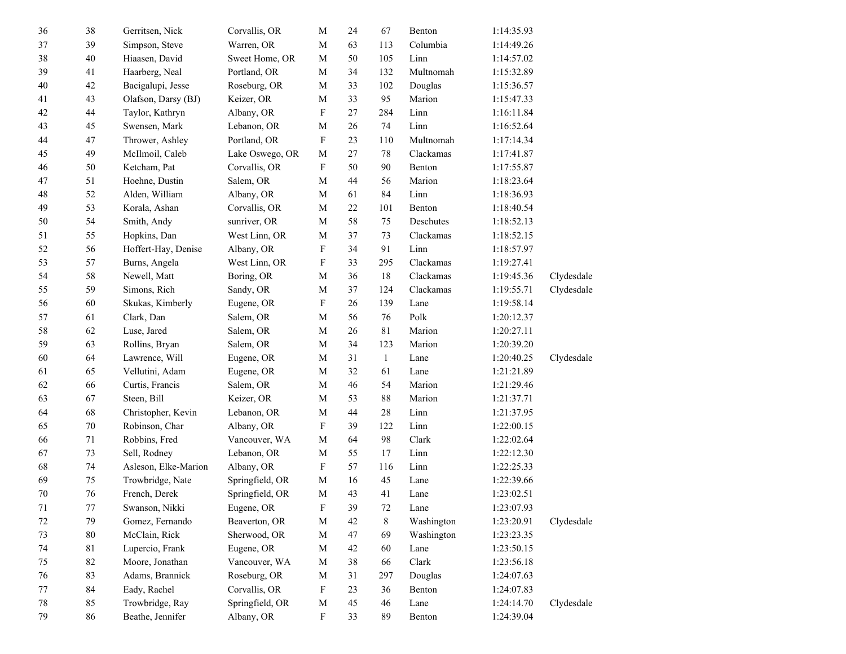| 36     | 38     | Gerritsen, Nick      | Corvallis, OR   | $\mathbf M$               | 24     | 67           | Benton     | 1:14:35.93 |            |
|--------|--------|----------------------|-----------------|---------------------------|--------|--------------|------------|------------|------------|
| 37     | 39     | Simpson, Steve       | Warren, OR      | $\mathbf M$               | 63     | 113          | Columbia   | 1:14:49.26 |            |
| 38     | $40\,$ | Hiaasen, David       | Sweet Home, OR  | $\mathbf M$               | 50     | 105          | Linn       | 1:14:57.02 |            |
| 39     | 41     | Haarberg, Neal       | Portland, OR    | $\mathbf M$               | 34     | 132          | Multnomah  | 1:15:32.89 |            |
| $40\,$ | 42     | Bacigalupi, Jesse    | Roseburg, OR    | $\mathbf M$               | 33     | 102          | Douglas    | 1:15:36.57 |            |
| 41     | 43     | Olafson, Darsy (BJ)  | Keizer, OR      | M                         | 33     | 95           | Marion     | 1:15:47.33 |            |
| $42\,$ | $44\,$ | Taylor, Kathryn      | Albany, OR      | F                         | $27\,$ | 284          | Linn       | 1:16:11.84 |            |
| 43     | 45     | Swensen, Mark        | Lebanon, OR     | M                         | 26     | 74           | Linn       | 1:16:52.64 |            |
| $44\,$ | 47     | Thrower, Ashley      | Portland, OR    | ${\bf F}$                 | 23     | 110          | Multnomah  | 1:17:14.34 |            |
| 45     | 49     | McIlmoil, Caleb      | Lake Oswego, OR | M                         | $27\,$ | 78           | Clackamas  | 1:17:41.87 |            |
| 46     | 50     | Ketcham, Pat         | Corvallis, OR   | $\boldsymbol{\mathrm{F}}$ | 50     | 90           | Benton     | 1:17:55.87 |            |
| $47\,$ | 51     | Hoehne, Dustin       | Salem, OR       | $\mathbf M$               | 44     | 56           | Marion     | 1:18:23.64 |            |
| $48\,$ | 52     | Alden, William       | Albany, OR      | $\mathbf M$               | 61     | 84           | Linn       | 1:18:36.93 |            |
| 49     | 53     | Korala, Ashan        | Corvallis, OR   | M                         | $22\,$ | 101          | Benton     | 1:18:40.54 |            |
| 50     | 54     | Smith, Andy          | sunriver, OR    | $\mathbf M$               | 58     | 75           | Deschutes  | 1:18:52.13 |            |
| 51     | 55     | Hopkins, Dan         | West Linn, OR   | M                         | 37     | 73           | Clackamas  | 1:18:52.15 |            |
| 52     | 56     | Hoffert-Hay, Denise  | Albany, OR      | $\boldsymbol{\mathrm{F}}$ | 34     | 91           | Linn       | 1:18:57.97 |            |
| 53     | 57     | Burns, Angela        | West Linn, OR   | F                         | 33     | 295          | Clackamas  | 1:19:27.41 |            |
| 54     | 58     | Newell, Matt         | Boring, OR      | $\mathbf M$               | 36     | 18           | Clackamas  | 1:19:45.36 | Clydesdale |
| 55     | 59     | Simons, Rich         | Sandy, OR       | $\mathbf M$               | 37     | 124          | Clackamas  | 1:19:55.71 | Clydesdale |
| 56     | 60     | Skukas, Kimberly     | Eugene, OR      | $\mathbf F$               | $26\,$ | 139          | Lane       | 1:19:58.14 |            |
| 57     | 61     | Clark, Dan           | Salem, OR       | M                         | 56     | 76           | Polk       | 1:20:12.37 |            |
| 58     | 62     | Luse, Jared          | Salem, OR       | M                         | 26     | 81           | Marion     | 1:20:27.11 |            |
| 59     | 63     | Rollins, Bryan       | Salem, OR       | M                         | 34     | 123          | Marion     | 1:20:39.20 |            |
| 60     | 64     | Lawrence, Will       | Eugene, OR      | $\mathbf M$               | 31     | $\mathbf{1}$ | Lane       | 1:20:40.25 | Clydesdale |
| 61     | 65     | Vellutini, Adam      | Eugene, OR      | M                         | 32     | 61           | Lane       | 1:21:21.89 |            |
| 62     | 66     | Curtis, Francis      | Salem, OR       | $\mathbf M$               | 46     | 54           | Marion     | 1:21:29.46 |            |
| 63     | 67     | Steen, Bill          | Keizer, OR      | M                         | 53     | $88\,$       | Marion     | 1:21:37.71 |            |
| 64     | 68     | Christopher, Kevin   | Lebanon, OR     | $\mathbf M$               | 44     | $28\,$       | Linn       | 1:21:37.95 |            |
| 65     | $70\,$ | Robinson, Char       | Albany, OR      | F                         | 39     | 122          | Linn       | 1:22:00.15 |            |
| 66     | 71     | Robbins, Fred        | Vancouver, WA   | M                         | 64     | 98           | Clark      | 1:22:02.64 |            |
| 67     | 73     | Sell, Rodney         | Lebanon, OR     | $\mathbf M$               | 55     | 17           | Linn       | 1:22:12.30 |            |
| 68     | 74     | Asleson, Elke-Marion | Albany, OR      | $\mathbf F$               | 57     | 116          | Linn       | 1:22:25.33 |            |
| 69     | $75\,$ | Trowbridge, Nate     | Springfield, OR | M                         | 16     | 45           | Lane       | 1:22:39.66 |            |
| $70\,$ | 76     | French, Derek        | Springfield, OR | $\mathbf M$               | 43     | 41           | Lane       | 1:23:02.51 |            |
| 71     | 77     | Swanson, Nikki       | Eugene, OR      | ${\bf F}$                 | 39     | $72\,$       | Lane       | 1:23:07.93 |            |
| 72     | 79     | Gomez, Fernando      | Beaverton, OR   | $\mathbf M$               | 42     | 8            | Washington | 1:23:20.91 | Clydesdale |
| 73     | $80\,$ | McClain, Rick        | Sherwood, OR    | $\mathbf M$               | 47     | 69           | Washington | 1:23:23.35 |            |
| 74     | 81     | Lupercio, Frank      | Eugene, OR      | $\mathbf M$               | 42     | 60           | Lane       | 1:23:50.15 |            |
| 75     | 82     | Moore, Jonathan      | Vancouver, WA   | $\mathbf M$               | 38     | 66           | Clark      | 1:23:56.18 |            |
| 76     | 83     | Adams, Brannick      | Roseburg, OR    | $\mathbf M$               | 31     | 297          | Douglas    | 1:24:07.63 |            |
| 77     | 84     | Eady, Rachel         | Corvallis, OR   | $\mathbf F$               | 23     | 36           | Benton     | 1:24:07.83 |            |
| 78     | 85     | Trowbridge, Ray      | Springfield, OR | $\mathbf M$               | 45     | 46           | Lane       | 1:24:14.70 | Clydesdale |
| 79     | 86     | Beathe, Jennifer     | Albany, OR      | $\mathbf F$               | 33     | 89           | Benton     | 1:24:39.04 |            |
|        |        |                      |                 |                           |        |              |            |            |            |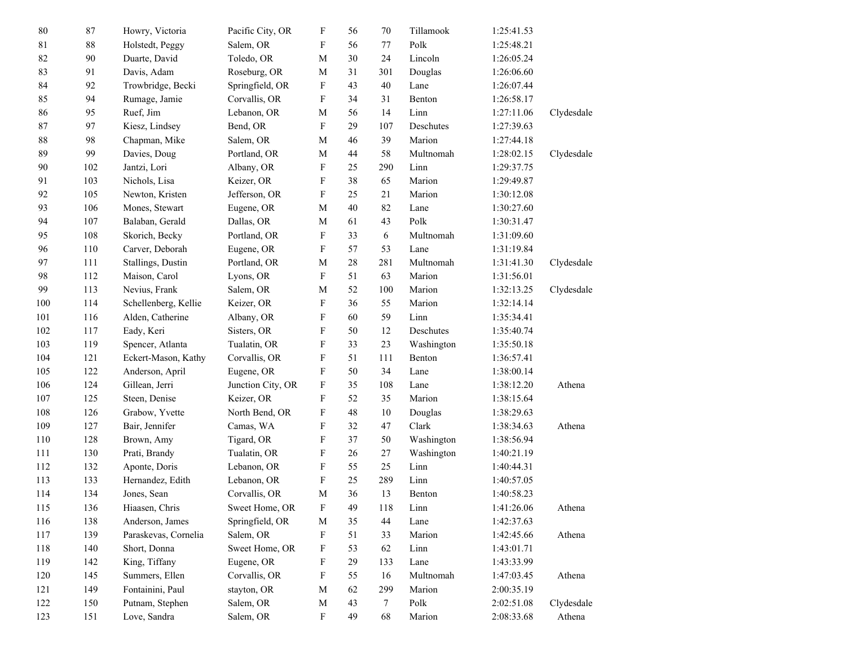| $80\,$      | 87  | Howry, Victoria      | Pacific City, OR  | F                         | 56 | 70              | Tillamook  | 1:25:41.53 |            |
|-------------|-----|----------------------|-------------------|---------------------------|----|-----------------|------------|------------|------------|
| $8\sqrt{1}$ | 88  | Holstedt, Peggy      | Salem, OR         | F                         | 56 | 77              | Polk       | 1:25:48.21 |            |
| 82          | 90  | Duarte, David        | Toledo, OR        | $\mathbf M$               | 30 | 24              | Lincoln    | 1:26:05.24 |            |
| 83          | 91  | Davis, Adam          | Roseburg, OR      | $\mathbf M$               | 31 | 301             | Douglas    | 1:26:06.60 |            |
| 84          | 92  | Trowbridge, Becki    | Springfield, OR   | F                         | 43 | 40              | Lane       | 1:26:07.44 |            |
| 85          | 94  | Rumage, Jamie        | Corvallis, OR     | F                         | 34 | 31              | Benton     | 1:26:58.17 |            |
| 86          | 95  | Ruef, Jim            | Lebanon, OR       | M                         | 56 | 14              | Linn       | 1:27:11.06 | Clydesdale |
| 87          | 97  | Kiesz, Lindsey       | Bend, OR          | F                         | 29 | 107             | Deschutes  | 1:27:39.63 |            |
| $88\,$      | 98  | Chapman, Mike        | Salem, OR         | M                         | 46 | 39              | Marion     | 1:27:44.18 |            |
| 89          | 99  | Davies, Doug         | Portland, OR      | M                         | 44 | 58              | Multnomah  | 1:28:02.15 | Clydesdale |
| 90          | 102 | Jantzi, Lori         | Albany, OR        | F                         | 25 | 290             | Linn       | 1:29:37.75 |            |
| 91          | 103 | Nichols, Lisa        | Keizer, OR        | F                         | 38 | 65              | Marion     | 1:29:49.87 |            |
| 92          | 105 | Newton, Kristen      | Jefferson, OR     | F                         | 25 | 21              | Marion     | 1:30:12.08 |            |
| 93          | 106 | Mones, Stewart       | Eugene, OR        | $\mathbf M$               | 40 | 82              | Lane       | 1:30:27.60 |            |
| 94          | 107 | Balaban, Gerald      | Dallas, OR        | M                         | 61 | 43              | Polk       | 1:30:31.47 |            |
| 95          | 108 | Skorich, Becky       | Portland, OR      | ${\rm F}$                 | 33 | 6               | Multnomah  | 1:31:09.60 |            |
| 96          | 110 | Carver, Deborah      | Eugene, OR        | F                         | 57 | 53              | Lane       | 1:31:19.84 |            |
| 97          | 111 | Stallings, Dustin    | Portland, OR      | M                         | 28 | 281             | Multnomah  | 1:31:41.30 | Clydesdale |
| 98          | 112 | Maison, Carol        | Lyons, OR         | F                         | 51 | 63              | Marion     | 1:31:56.01 |            |
| 99          | 113 | Nevius, Frank        | Salem, OR         | M                         | 52 | 100             | Marion     | 1:32:13.25 | Clydesdale |
| 100         | 114 | Schellenberg, Kellie | Keizer, OR        | F                         | 36 | 55              | Marion     | 1:32:14.14 |            |
| 101         | 116 | Alden, Catherine     | Albany, OR        | F                         | 60 | 59              | Linn       | 1:35:34.41 |            |
| 102         | 117 | Eady, Keri           | Sisters, OR       | F                         | 50 | 12              | Deschutes  | 1:35:40.74 |            |
| 103         | 119 | Spencer, Atlanta     | Tualatin, OR      | F                         | 33 | 23              | Washington | 1:35:50.18 |            |
| 104         | 121 | Eckert-Mason, Kathy  | Corvallis, OR     | F                         | 51 | 111             | Benton     | 1:36:57.41 |            |
| 105         | 122 | Anderson, April      | Eugene, OR        | F                         | 50 | 34              | Lane       | 1:38:00.14 |            |
| 106         | 124 | Gillean, Jerri       | Junction City, OR | F                         | 35 | 108             | Lane       | 1:38:12.20 | Athena     |
| 107         | 125 | Steen, Denise        | Keizer, OR        | F                         | 52 | 35              | Marion     | 1:38:15.64 |            |
| 108         | 126 | Grabow, Yvette       | North Bend, OR    | F                         | 48 | $10\,$          | Douglas    | 1:38:29.63 |            |
| 109         | 127 | Bair, Jennifer       | Camas, WA         | F                         | 32 | 47              | Clark      | 1:38:34.63 | Athena     |
| 110         | 128 | Brown, Amy           | Tigard, OR        | F                         | 37 | 50              | Washington | 1:38:56.94 |            |
| 111         | 130 | Prati, Brandy        | Tualatin, OR      | F                         | 26 | 27              | Washington | 1:40:21.19 |            |
| 112         | 132 | Aponte, Doris        | Lebanon, OR       | F                         | 55 | 25              | Linn       | 1:40:44.31 |            |
| 113         | 133 | Hernandez, Edith     | Lebanon, OR       | $\boldsymbol{\mathrm{F}}$ | 25 | 289             | Linn       | 1:40:57.05 |            |
| 114         | 134 | Jones, Sean          | Corvallis, OR     | M                         | 36 | 13              | Benton     | 1:40:58.23 |            |
| 115         | 136 | Hiaasen, Chris       | Sweet Home, OR    | ${\bf F}$                 | 49 | 118             | Linn       | 1:41:26.06 | Athena     |
| 116         | 138 | Anderson, James      | Springfield, OR   | $\mathbf M$               | 35 | 44              | Lane       | 1:42:37.63 |            |
| 117         | 139 | Paraskevas, Cornelia | Salem, OR         | F                         | 51 | 33              | Marion     | 1:42:45.66 | Athena     |
| 118         | 140 | Short, Donna         | Sweet Home, OR    | F                         | 53 | 62              | Linn       | 1:43:01.71 |            |
| 119         | 142 | King, Tiffany        | Eugene, OR        | F                         | 29 | 133             | Lane       | 1:43:33.99 |            |
| 120         | 145 | Summers, Ellen       | Corvallis, OR     | ${\rm F}$                 | 55 | 16              | Multnomah  | 1:47:03.45 | Athena     |
| 121         | 149 | Fontainini, Paul     | stayton, OR       | $\mathbf M$               | 62 | 299             | Marion     | 2:00:35.19 |            |
| 122         | 150 | Putnam, Stephen      | Salem, OR         | $\mathbf M$               | 43 | $7\phantom{.0}$ | Polk       | 2:02:51.08 | Clydesdale |
| 123         | 151 | Love, Sandra         | Salem, OR         | ${\rm F}$                 | 49 | 68              | Marion     | 2:08:33.68 | Athena     |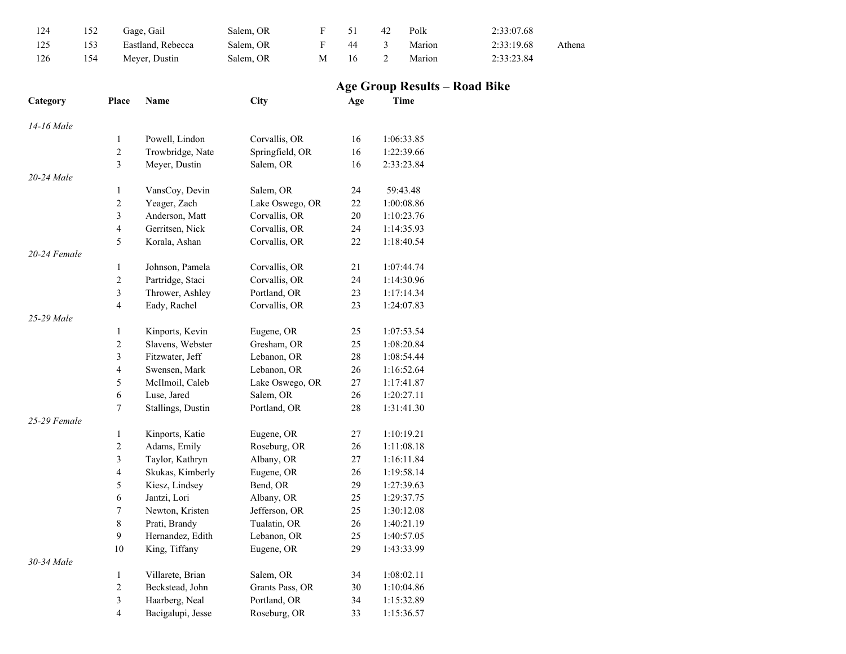| 124 | 152 | Gage, Gail        | Salem, OR |   |     | 42 | Polk   | 2:33:07.68 |        |
|-----|-----|-------------------|-----------|---|-----|----|--------|------------|--------|
| 125 | 153 | Eastland, Rebecca | Salem. OR |   | 44  |    | Marion | 2:33:19.68 | Athena |
| 126 | 154 | Mever. Dustin     | Salem, OR | M | -16 |    | Marion | 2:33:23.84 |        |

## **Age Group Results – Road Bike**

| Category     | Place                   | Name              | City            | Age | Time       |
|--------------|-------------------------|-------------------|-----------------|-----|------------|
| 14-16 Male   |                         |                   |                 |     |            |
|              | $\mathbf{1}$            | Powell, Lindon    | Corvallis, OR   | 16  | 1:06:33.85 |
|              | $\overline{c}$          | Trowbridge, Nate  | Springfield, OR | 16  | 1:22:39.66 |
|              | $\overline{3}$          | Meyer, Dustin     | Salem, OR       | 16  | 2:33:23.84 |
| 20-24 Male   |                         |                   |                 |     |            |
|              | 1                       | VansCoy, Devin    | Salem, OR       | 24  | 59:43.48   |
|              | $\sqrt{2}$              | Yeager, Zach      | Lake Oswego, OR | 22  | 1:00:08.86 |
|              | $\mathfrak{Z}$          | Anderson, Matt    | Corvallis, OR   | 20  | 1:10:23.76 |
|              | $\overline{4}$          | Gerritsen, Nick   | Corvallis, OR   | 24  | 1:14:35.93 |
|              | 5                       | Korala, Ashan     | Corvallis, OR   | 22  | 1:18:40.54 |
| 20-24 Female |                         |                   |                 |     |            |
|              | 1                       | Johnson, Pamela   | Corvallis, OR   | 21  | 1:07:44.74 |
|              | $\overline{c}$          | Partridge, Staci  | Corvallis, OR   | 24  | 1:14:30.96 |
|              | $\overline{3}$          | Thrower, Ashley   | Portland, OR    | 23  | 1:17:14.34 |
|              | $\overline{4}$          | Eady, Rachel      | Corvallis, OR   | 23  | 1:24:07.83 |
| 25-29 Male   |                         |                   |                 |     |            |
|              | 1                       | Kinports, Kevin   | Eugene, OR      | 25  | 1:07:53.54 |
|              | $\sqrt{2}$              | Slavens, Webster  | Gresham, OR     | 25  | 1:08:20.84 |
|              | $\overline{3}$          | Fitzwater, Jeff   | Lebanon, OR     | 28  | 1:08:54.44 |
|              | $\overline{\mathbf{4}}$ | Swensen, Mark     | Lebanon, OR     | 26  | 1:16:52.64 |
|              | 5                       | McIlmoil, Caleb   | Lake Oswego, OR | 27  | 1:17:41.87 |
|              | $\sqrt{6}$              | Luse, Jared       | Salem, OR       | 26  | 1:20:27.11 |
|              | $\tau$                  | Stallings, Dustin | Portland, OR    | 28  | 1:31:41.30 |
| 25-29 Female |                         |                   |                 |     |            |
|              | 1                       | Kinports, Katie   | Eugene, OR      | 27  | 1:10:19.21 |
|              | $\overline{c}$          | Adams, Emily      | Roseburg, OR    | 26  | 1:11:08.18 |
|              | $\overline{\mathbf{3}}$ | Taylor, Kathryn   | Albany, OR      | 27  | 1:16:11.84 |
|              | $\overline{4}$          | Skukas, Kimberly  | Eugene, OR      | 26  | 1:19:58.14 |
|              | 5                       | Kiesz, Lindsey    | Bend, OR        | 29  | 1:27:39.63 |
|              | 6                       | Jantzi, Lori      | Albany, OR      | 25  | 1:29:37.75 |
|              | $\boldsymbol{7}$        | Newton, Kristen   | Jefferson, OR   | 25  | 1:30:12.08 |
|              | $\,$ 8 $\,$             | Prati, Brandy     | Tualatin, OR    | 26  | 1:40:21.19 |
|              | 9                       | Hernandez, Edith  | Lebanon, OR     | 25  | 1:40:57.05 |
|              | 10                      | King, Tiffany     | Eugene, OR      | 29  | 1:43:33.99 |
| 30-34 Male   |                         |                   |                 |     |            |
|              | 1                       | Villarete, Brian  | Salem, OR       | 34  | 1:08:02.11 |
|              | $\overline{c}$          | Beckstead, John   | Grants Pass, OR | 30  | 1:10:04.86 |
|              | $\overline{3}$          | Haarberg, Neal    | Portland, OR    | 34  | 1:15:32.89 |
|              | $\overline{4}$          | Bacigalupi, Jesse | Roseburg, OR    | 33  | 1:15:36.57 |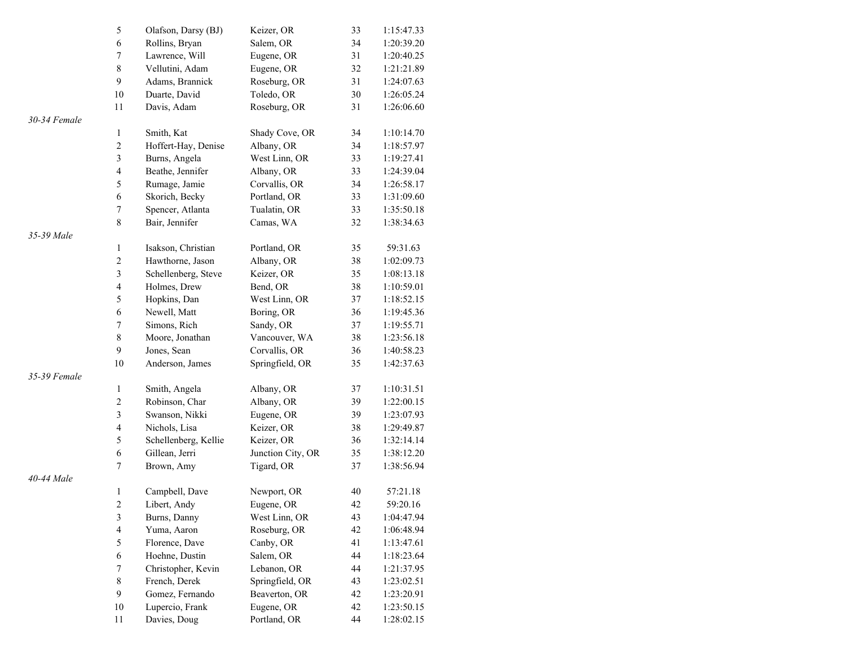|              | 5                       | Olafson, Darsy (BJ)  | Keizer, OR        | 33     | 1:15:47.33 |
|--------------|-------------------------|----------------------|-------------------|--------|------------|
|              | 6                       | Rollins, Bryan       | Salem, OR         | 34     | 1:20:39.20 |
|              | $\tau$                  | Lawrence, Will       | Eugene, OR        | 31     | 1:20:40.25 |
|              | $\,$ 8 $\,$             | Vellutini, Adam      | Eugene, OR        | 32     | 1:21:21.89 |
|              | 9                       | Adams, Brannick      | Roseburg, OR      | 31     | 1:24:07.63 |
|              | $10\,$                  | Duarte, David        | Toledo, OR        | 30     | 1:26:05.24 |
|              | 11                      | Davis, Adam          | Roseburg, OR      | 31     | 1:26:06.60 |
| 30-34 Female |                         |                      |                   |        |            |
|              | 1                       | Smith, Kat           | Shady Cove, OR    | 34     | 1:10:14.70 |
|              | $\overline{c}$          | Hoffert-Hay, Denise  | Albany, OR        | 34     | 1:18:57.97 |
|              | $\mathfrak{Z}$          | Burns, Angela        | West Linn, OR     | 33     | 1:19:27.41 |
|              | $\overline{\mathbf{4}}$ | Beathe, Jennifer     | Albany, OR        | 33     | 1:24:39.04 |
|              | 5                       | Rumage, Jamie        | Corvallis, OR     | 34     | 1:26:58.17 |
|              | 6                       | Skorich, Becky       | Portland, OR      | 33     | 1:31:09.60 |
|              | $\boldsymbol{7}$        | Spencer, Atlanta     | Tualatin, OR      | 33     | 1:35:50.18 |
|              | $\,8\,$                 | Bair, Jennifer       | Camas, WA         | 32     | 1:38:34.63 |
| 35-39 Male   |                         |                      |                   |        |            |
|              | 1                       | Isakson, Christian   | Portland, OR      | 35     | 59:31.63   |
|              | $\overline{c}$          | Hawthorne, Jason     | Albany, OR        | 38     | 1:02:09.73 |
|              | $\mathfrak{Z}$          | Schellenberg, Steve  | Keizer, OR        | 35     | 1:08:13.18 |
|              | $\overline{\mathbf{4}}$ | Holmes, Drew         | Bend, OR          | 38     | 1:10:59.01 |
|              | 5                       | Hopkins, Dan         | West Linn, OR     | 37     | 1:18:52.15 |
|              | 6                       | Newell, Matt         | Boring, OR        | 36     | 1:19:45.36 |
|              | $\tau$                  | Simons, Rich         | Sandy, OR         | 37     | 1:19:55.71 |
|              | $\,$ $\,$               | Moore, Jonathan      | Vancouver, WA     | 38     | 1:23:56.18 |
|              | 9                       | Jones, Sean          | Corvallis, OR     | 36     | 1:40:58.23 |
|              | $10\,$                  | Anderson, James      | Springfield, OR   | 35     | 1:42:37.63 |
| 35-39 Female |                         |                      |                   |        |            |
|              | 1                       | Smith, Angela        | Albany, OR        | 37     | 1:10:31.51 |
|              | $\overline{c}$          | Robinson, Char       | Albany, OR        | 39     | 1:22:00.15 |
|              | $\overline{\mathbf{3}}$ | Swanson, Nikki       | Eugene, OR        | 39     | 1:23:07.93 |
|              | $\overline{\mathbf{4}}$ | Nichols, Lisa        | Keizer, OR        | 38     | 1:29:49.87 |
|              | 5                       | Schellenberg, Kellie | Keizer, OR        | 36     | 1:32:14.14 |
|              | 6                       | Gillean, Jerri       | Junction City, OR | 35     | 1:38:12.20 |
|              | $\tau$                  | Brown, Amy           | Tigard, OR        | 37     | 1:38:56.94 |
| 40-44 Male   |                         |                      |                   |        |            |
|              | 1                       | Campbell, Dave       | Newport, OR       | 40     | 57:21.18   |
|              | $\overline{c}$          | Libert, Andy         | Eugene, OR        | $42\,$ | 59:20.16   |
|              | $\overline{\mathbf{3}}$ | Burns, Danny         | West Linn, OR     | 43     | 1:04:47.94 |
|              | $\overline{4}$          | Yuma, Aaron          | Roseburg, OR      | 42     | 1:06:48.94 |
|              | 5                       | Florence, Dave       | Canby, OR         | 41     | 1:13:47.61 |
|              | 6                       | Hoehne, Dustin       | Salem, OR         | 44     | 1:18:23.64 |
|              | $\boldsymbol{7}$        | Christopher, Kevin   | Lebanon, OR       | 44     | 1:21:37.95 |
|              | $\,8\,$                 | French, Derek        | Springfield, OR   | 43     | 1:23:02.51 |
|              | 9                       | Gomez, Fernando      | Beaverton, OR     | 42     | 1:23:20.91 |
|              | $10\,$                  | Lupercio, Frank      | Eugene, OR        | 42     | 1:23:50.15 |
|              | 11                      | Davies, Doug         | Portland, OR      | 44     | 1:28:02.15 |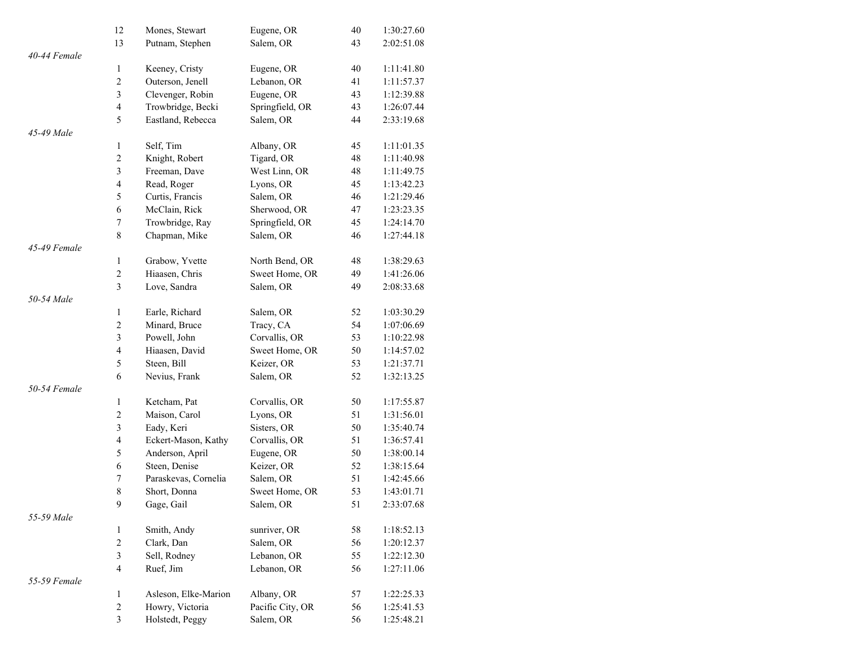|              | 12                      | Mones, Stewart       | Eugene, OR       | 40 | 1:30:27.60 |
|--------------|-------------------------|----------------------|------------------|----|------------|
|              | 13                      | Putnam, Stephen      | Salem, OR        | 43 | 2:02:51.08 |
| 40-44 Female |                         |                      |                  |    |            |
|              | $\mathbf{1}$            | Keeney, Cristy       | Eugene, OR       | 40 | 1:11:41.80 |
|              | $\sqrt{2}$              | Outerson, Jenell     | Lebanon, OR      | 41 | 1:11:57.37 |
|              | $\mathfrak{Z}$          | Clevenger, Robin     | Eugene, OR       | 43 | 1:12:39.88 |
|              | $\overline{4}$          | Trowbridge, Becki    | Springfield, OR  | 43 | 1:26:07.44 |
|              | 5                       | Eastland, Rebecca    | Salem, OR        | 44 | 2:33:19.68 |
| 45-49 Male   |                         |                      |                  |    |            |
|              | $\mathbf{1}$            | Self, Tim            | Albany, OR       | 45 | 1:11:01.35 |
|              | $\sqrt{2}$              | Knight, Robert       | Tigard, OR       | 48 | 1:11:40.98 |
|              | $\mathfrak{Z}$          | Freeman, Dave        | West Linn, OR    | 48 | 1:11:49.75 |
|              | $\overline{4}$          | Read, Roger          | Lyons, OR        | 45 | 1:13:42.23 |
|              | 5                       | Curtis, Francis      | Salem, OR        | 46 | 1:21:29.46 |
|              | $\sqrt{6}$              | McClain, Rick        | Sherwood, OR     | 47 | 1:23:23.35 |
|              | $\tau$                  | Trowbridge, Ray      | Springfield, OR  | 45 | 1:24:14.70 |
|              | 8                       | Chapman, Mike        | Salem, OR        | 46 | 1:27:44.18 |
| 45-49 Female |                         |                      |                  |    |            |
|              | $\mathbf{1}$            | Grabow, Yvette       | North Bend, OR   | 48 | 1:38:29.63 |
|              | $\sqrt{2}$              | Hiaasen, Chris       | Sweet Home, OR   | 49 | 1:41:26.06 |
|              | 3                       | Love, Sandra         | Salem, OR        | 49 | 2:08:33.68 |
| 50-54 Male   |                         |                      |                  |    |            |
|              | $\mathbf{1}$            | Earle, Richard       | Salem, OR        | 52 | 1:03:30.29 |
|              | $\sqrt{2}$              | Minard, Bruce        | Tracy, CA        | 54 | 1:07:06.69 |
|              | $\mathfrak{Z}$          | Powell, John         | Corvallis, OR    | 53 | 1:10:22.98 |
|              | $\overline{4}$          | Hiaasen, David       | Sweet Home, OR   | 50 | 1:14:57.02 |
|              | 5                       | Steen, Bill          | Keizer, OR       | 53 | 1:21:37.71 |
|              | 6                       | Nevius, Frank        | Salem, OR        | 52 | 1:32:13.25 |
| 50-54 Female |                         |                      |                  |    |            |
|              | $\mathbf{1}$            | Ketcham, Pat         | Corvallis, OR    | 50 | 1:17:55.87 |
|              | $\sqrt{2}$              | Maison, Carol        | Lyons, OR        | 51 | 1:31:56.01 |
|              | $\mathfrak{Z}$          | Eady, Keri           | Sisters, OR      | 50 | 1:35:40.74 |
|              | $\overline{4}$          | Eckert-Mason, Kathy  | Corvallis, OR    | 51 | 1:36:57.41 |
|              | 5                       | Anderson, April      | Eugene, OR       | 50 | 1:38:00.14 |
|              | $\sqrt{6}$              | Steen, Denise        | Keizer, OR       | 52 | 1:38:15.64 |
|              | $\tau$                  | Paraskevas, Cornelia | Salem, OR        | 51 | 1:42:45.66 |
|              | $\,$ 8 $\,$             | Short, Donna         | Sweet Home, OR   | 53 | 1:43:01.71 |
|              | 9                       | Gage, Gail           | Salem, OR        | 51 | 2:33:07.68 |
| 55-59 Male   |                         |                      |                  |    |            |
|              | $\mathbf{1}$            | Smith, Andy          | sunriver, OR     | 58 | 1:18:52.13 |
|              | $\sqrt{2}$              | Clark, Dan           | Salem, OR        | 56 | 1:20:12.37 |
|              | $\mathfrak{Z}$          | Sell, Rodney         | Lebanon, OR      | 55 | 1:22:12.30 |
|              | $\overline{4}$          | Ruef, Jim            | Lebanon, OR      | 56 | 1:27:11.06 |
| 55-59 Female |                         |                      |                  |    |            |
|              | $\mathbf{1}$            | Asleson, Elke-Marion | Albany, OR       | 57 | 1:22:25.33 |
|              | $\boldsymbol{2}$        | Howry, Victoria      | Pacific City, OR | 56 | 1:25:41.53 |
|              | $\overline{\mathbf{3}}$ | Holstedt, Peggy      | Salem, OR        | 56 | 1:25:48.21 |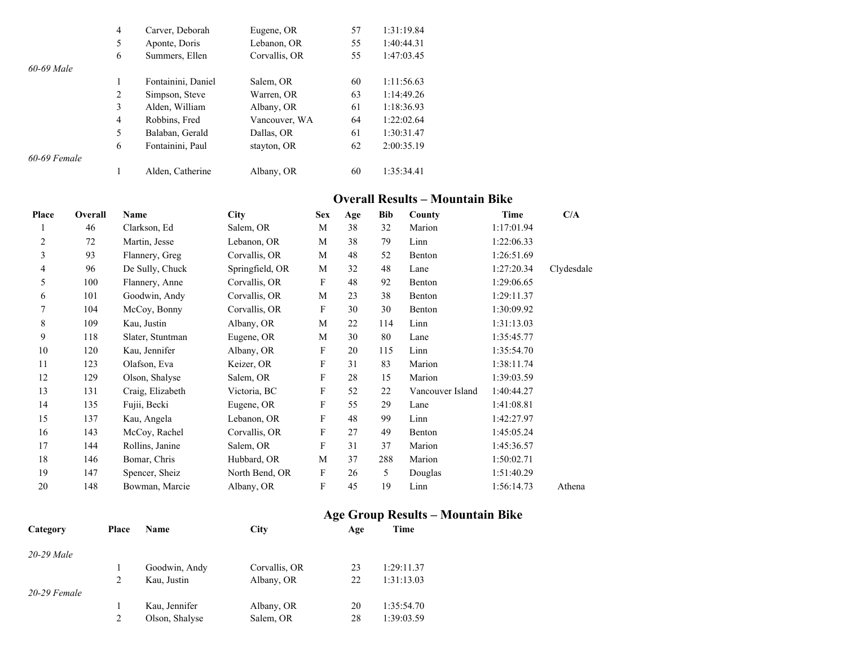|                | $\overline{4}$ | Carver, Deborah    | Eugene, OR    | 57 | 1:31:19.84 |
|----------------|----------------|--------------------|---------------|----|------------|
|                | 5              | Aponte, Doris      | Lebanon, OR   | 55 | 1:40:44.31 |
|                | 6              | Summers, Ellen     | Corvallis, OR | 55 | 1:47:03.45 |
| 60-69 Male     |                |                    |               |    |            |
|                |                | Fontainini, Daniel | Salem, OR     | 60 | 1:11:56.63 |
|                | 2              | Simpson, Steve     | Warren, OR    | 63 | 1:14:49.26 |
|                | 3              | Alden, William     | Albany, OR    | 61 | 1:18:36.93 |
|                | $\overline{4}$ | Robbins, Fred      | Vancouver, WA | 64 | 1:22:02.64 |
|                | 5              | Balaban, Gerald    | Dallas, OR    | 61 | 1:30:31.47 |
|                | 6              | Fontainini, Paul   | stayton, OR   | 62 | 2:00:35.19 |
| $60-69$ Female |                |                    |               |    |            |
|                |                | Alden, Catherine   | Albany, OR    | 60 | 1:35:34.41 |

#### **Overall Results – Mountain Bike**

| Place | Overall | Name             | <b>City</b>     | <b>Sex</b>                | Age | <b>Bib</b> | County           | <b>Time</b> | C/A        |
|-------|---------|------------------|-----------------|---------------------------|-----|------------|------------------|-------------|------------|
|       | 46      | Clarkson, Ed     | Salem, OR       | M                         | 38  | 32         | Marion           | 1:17:01.94  |            |
| 2     | 72      | Martin, Jesse    | Lebanon, OR     | M                         | 38  | 79         | Linn             | 1:22:06.33  |            |
| 3     | 93      | Flannery, Greg   | Corvallis, OR   | M                         | 48  | 52         | Benton           | 1:26:51.69  |            |
| 4     | 96      | De Sully, Chuck  | Springfield, OR | M                         | 32  | 48         | Lane             | 1:27:20.34  | Clydesdale |
| 5     | 100     | Flannery, Anne   | Corvallis, OR   | F                         | 48  | 92         | Benton           | 1:29:06.65  |            |
| 6     | 101     | Goodwin, Andy    | Corvallis, OR   | M                         | 23  | 38         | Benton           | 1:29:11.37  |            |
| 7     | 104     | McCoy, Bonny     | Corvallis, OR   | F                         | 30  | 30         | Benton           | 1:30:09.92  |            |
| 8     | 109     | Kau, Justin      | Albany, OR      | M                         | 22  | 114        | Linn             | 1:31:13.03  |            |
| 9     | 118     | Slater, Stuntman | Eugene, OR      | M                         | 30  | 80         | Lane             | 1:35:45.77  |            |
| 10    | 120     | Kau, Jennifer    | Albany, OR      | F                         | 20  | 115        | Linn             | 1:35:54.70  |            |
| 11    | 123     | Olafson, Eva     | Keizer, OR      | F                         | 31  | 83         | Marion           | 1:38:11.74  |            |
| 12    | 129     | Olson, Shalyse   | Salem, OR       | $\boldsymbol{\mathrm{F}}$ | 28  | 15         | Marion           | 1:39:03.59  |            |
| 13    | 131     | Craig, Elizabeth | Victoria, BC    | $\boldsymbol{\mathrm{F}}$ | 52  | 22         | Vancouver Island | 1:40:44.27  |            |
| 14    | 135     | Fujii, Becki     | Eugene, OR      | F                         | 55  | 29         | Lane             | 1:41:08.81  |            |
| 15    | 137     | Kau, Angela      | Lebanon, OR     | F                         | 48  | 99         | Linn             | 1:42:27.97  |            |
| 16    | 143     | McCoy, Rachel    | Corvallis, OR   | F                         | 27  | 49         | Benton           | 1:45:05.24  |            |
| 17    | 144     | Rollins, Janine  | Salem, OR       | F                         | 31  | 37         | Marion           | 1:45:36.57  |            |
| 18    | 146     | Bomar, Chris     | Hubbard, OR     | M                         | 37  | 288        | Marion           | 1:50:02.71  |            |
| 19    | 147     | Spencer, Sheiz   | North Bend, OR  | F                         | 26  | 5          | Douglas          | 1:51:40.29  |            |
| 20    | 148     | Bowman, Marcie   | Albany, OR      | $\boldsymbol{\mathrm{F}}$ | 45  | 19         | Linn             | 1:56:14.73  | Athena     |
|       |         |                  |                 |                           |     |            |                  |             |            |

## **Age Group Results – Mountain Bike**

| Category       | Place          | <b>Name</b>    | City          | Age | Time       |
|----------------|----------------|----------------|---------------|-----|------------|
| $20-29$ Male   |                |                |               |     |            |
|                |                | Goodwin, Andy  | Corvallis, OR | 23  | 1:29:11.37 |
|                | $\overline{2}$ | Kau, Justin    | Albany, OR    | 22  | 1:31:13.03 |
| $20-29$ Female |                |                |               |     |            |
|                |                | Kau, Jennifer  | Albany, OR    | 20  | 1:35:54.70 |
|                | 2              | Olson, Shalyse | Salem, OR     | 28  | 1:39:03.59 |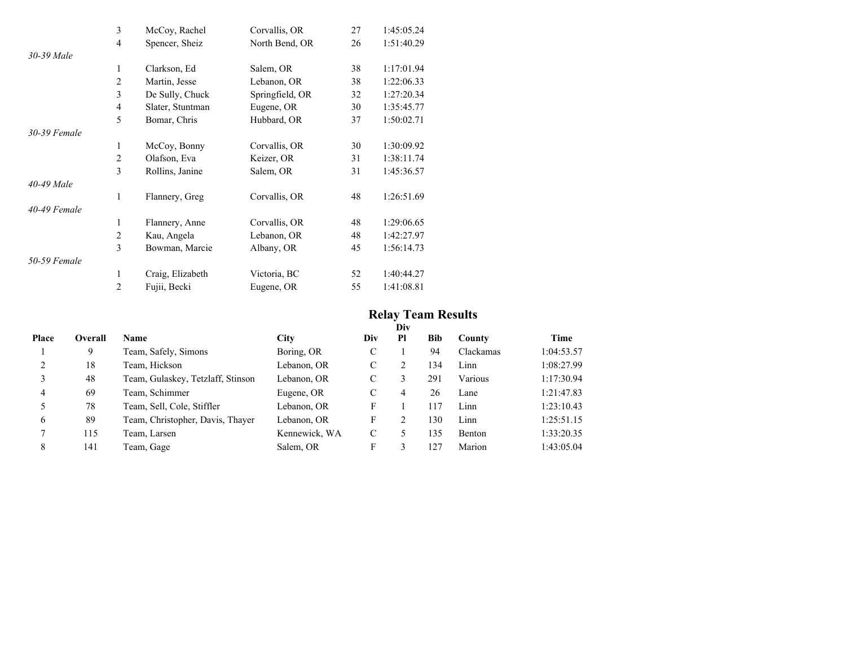|              | 3              | McCoy, Rachel    | Corvallis, OR   | 27 | 1:45:05.24 |
|--------------|----------------|------------------|-----------------|----|------------|
|              | $\overline{4}$ | Spencer, Sheiz   | North Bend, OR  | 26 | 1:51:40.29 |
| 30-39 Male   |                |                  |                 |    |            |
|              | 1              | Clarkson, Ed     | Salem, OR       | 38 | 1:17:01.94 |
|              | $\overline{2}$ | Martin, Jesse    | Lebanon, OR     | 38 | 1:22:06.33 |
|              | 3              | De Sully, Chuck  | Springfield, OR | 32 | 1:27:20.34 |
|              | $\overline{4}$ | Slater, Stuntman | Eugene, OR      | 30 | 1:35:45.77 |
|              | 5              | Bomar, Chris     | Hubbard, OR     | 37 | 1:50:02.71 |
| 30-39 Female |                |                  |                 |    |            |
|              | 1              | McCoy, Bonny     | Corvallis, OR   | 30 | 1:30:09.92 |
|              | $\overline{2}$ | Olafson, Eva     | Keizer, OR      | 31 | 1:38:11.74 |
|              | 3              | Rollins, Janine  | Salem, OR       | 31 | 1:45:36.57 |
| 40-49 Male   |                |                  |                 |    |            |
|              | 1              | Flannery, Greg   | Corvallis, OR   | 48 | 1:26:51.69 |
| 40-49 Female |                |                  |                 |    |            |
|              | 1              | Flannery, Anne   | Corvallis, OR   | 48 | 1:29:06.65 |
|              | $\overline{2}$ | Kau, Angela      | Lebanon, OR     | 48 | 1:42:27.97 |
|              | 3              | Bowman, Marcie   | Albany, OR      | 45 | 1:56:14.73 |
| 50-59 Female |                |                  |                 |    |            |
|              | 1              | Craig, Elizabeth | Victoria, BC    | 52 | 1:40:44.27 |
|              | $\overline{2}$ | Fujii, Becki     | Eugene, OR      | 55 | 1:41:08.81 |

## **Relay Team Results**

|       |         |                                   |               |     | Div |     |           |            |
|-------|---------|-----------------------------------|---------------|-----|-----|-----|-----------|------------|
| Place | Overall | <b>Name</b>                       | <b>City</b>   | Div | Pl  | Bib | County    | Time       |
|       | 9       | Team, Safely, Simons              | Boring, OR    | C   |     | 94  | Clackamas | 1:04:53.57 |
|       | 18      | Team, Hickson                     | Lebanon, OR   | C   | 2   | 134 | Linn      | 1:08:27.99 |
|       | 48      | Team, Gulaskey, Tetzlaff, Stinson | Lebanon, OR   | C   | 3   | 291 | Various   | 1:17:30.94 |
| 4     | 69      | Team, Schimmer                    | Eugene, OR    | C   | 4   | 26  | Lane      | 1:21:47.83 |
|       | 78      | Team, Sell, Cole, Stiffler        | Lebanon, OR   | F   |     | 117 | Linn      | 1:23:10.43 |
| 6     | 89      | Team, Christopher, Davis, Thayer  | Lebanon, OR   | F   | 2   | 130 | Linn      | 1:25:51.15 |
|       | 115     | Team, Larsen                      | Kennewick, WA | C   | 5   | 135 | Benton    | 1:33:20.35 |
| 8     | 141     | Team, Gage                        | Salem, OR     | F   | 3   | 127 | Marion    | 1:43:05.04 |
|       |         |                                   |               |     |     |     |           |            |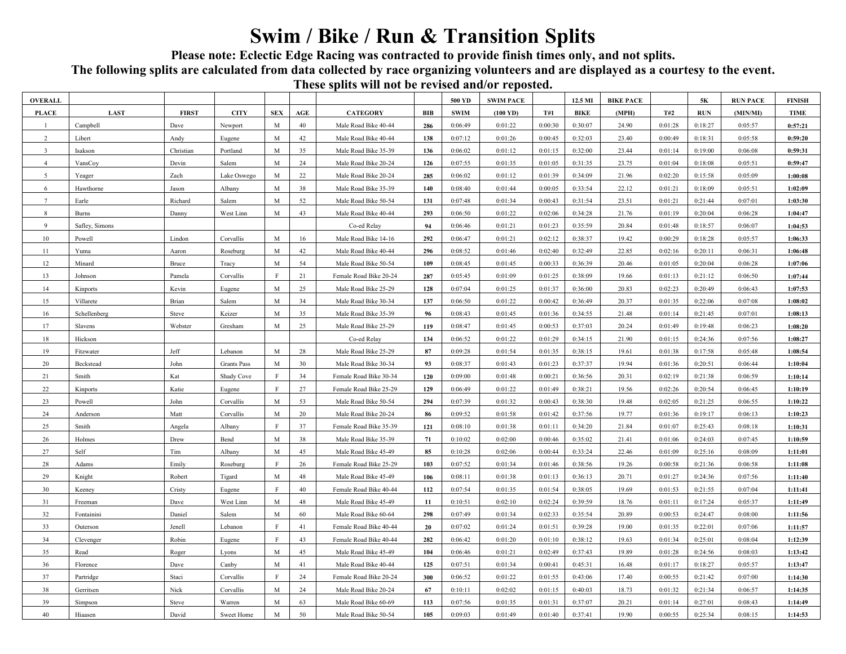# **Swim / Bike / Run & Transition Splits**

**Please note: Eclectic Edge Racing was contracted to provide finish times only, and not splits.** 

**The following splits are calculated from data collected by race organizing volunteers and are displayed as a courtesy to the event.** 

### **These splits will not be revised and/or reposted.**

|                 |                |                       |             |              |        | These spires will not be revised and/or reposition |     |             |                    |         |             |                  |         |         |                 |               |
|-----------------|----------------|-----------------------|-------------|--------------|--------|----------------------------------------------------|-----|-------------|--------------------|---------|-------------|------------------|---------|---------|-----------------|---------------|
| <b>OVERALL</b>  |                |                       |             |              |        |                                                    |     | 500 YD      | <b>SWIM PACE</b>   |         | 12.5 MI     | <b>BIKE PACE</b> |         | 5К      | <b>RUN PACE</b> | <b>FINISH</b> |
| <b>PLACE</b>    | LAST           | <b>FIRST</b>          | <b>CITY</b> | <b>SEX</b>   | AGE    | <b>CATEGORY</b>                                    | BIB | <b>SWIM</b> | $(100 \text{ YD})$ | T#1     | <b>BIKE</b> | (MPH)            | T#2     | RUN     | (MIN/MI)        | <b>TIME</b>   |
|                 | Campbell       | Dave                  | Newport     | $\mathbf M$  | 40     | Male Road Bike 40-44                               | 286 | 0:06:49     | 0:01:22            | 0:00:30 | 0:30:07     | 24.90            | 0:01:28 | 0:18:27 | 0:05:57         | 0:57:21       |
| $\overline{2}$  | Libert         | Andy                  | Eugene      | M            | 42     | Male Road Bike 40-44                               | 138 | 0:07:12     | 0:01:26            | 0:00:45 | 0:32:03     | 23.40            | 0:00:49 | 0:18:31 | 0:05:58         | 0:59:20       |
| $\overline{3}$  | Isakson        | Christian             | Portland    | $\mathbf M$  | 35     | Male Road Bike 35-39                               | 136 | 0:06:02     | 0:01:12            | 0:01:15 | 0:32:00     | 23.44            | 0:01:14 | 0:19:00 | 0:06:08         | 0:59:31       |
| $\overline{4}$  | VansCoy        | Devin                 | Salem       | $\mathbf M$  | 24     | Male Road Bike 20-24                               | 126 | 0:07:55     | 0:01:35            | 0:01:05 | 0:31:35     | 23.75            | 0:01:04 | 0:18:08 | 0:05:51         | 0:59:47       |
| 5               | Yeager         | Zach                  | Lake Oswego | $\mathbf M$  | 22     | Male Road Bike 20-24                               | 285 | 0:06:02     | 0:01:12            | 0:01:39 | 0:34:09     | 21.96            | 0:02:20 | 0:15:58 | 0:05:09         | 1:00:08       |
| 6               | Hawthorne      | Jason                 | Albany      | $\mathbf M$  | 38     | Male Road Bike 35-39                               | 140 | 0:08:40     | 0:01:44            | 0:00:05 | 0:33:54     | 22.12            | 0:01:21 | 0:18:09 | 0:05:51         | 1:02:09       |
| $7\phantom{.0}$ | Earle          | Richard               | Salem       | $\mathbf M$  | 52     | Male Road Bike 50-54                               | 131 | 0:07:48     | 0:01:34            | 0:00:43 | 0:31:54     | 23.51            | 0:01:21 | 0:21:44 | 0:07:01         | 1:03:30       |
| 8               | <b>Burns</b>   | Danny                 | West Linn   | $\mathbf M$  | 43     | Male Road Bike 40-44                               | 293 | 0:06:50     | 0:01:22            | 0:02:06 | 0:34:28     | 21.76            | 0:01:19 | 0:20:04 | 0:06:28         | 1:04:47       |
| $\overline{9}$  | Safley, Simons |                       |             |              |        | Co-ed Relay                                        | 94  | 0:06:46     | 0:01:21            | 0:01:23 | 0:35:59     | 20.84            | 0:01:48 | 0:18:57 | 0:06:07         | 1:04:53       |
| 10              | Powell         | Lindon                | Corvallis   | M            | 16     | Male Road Bike 14-16                               | 292 | 0:06:47     | 0:01:21            | 0:02:12 | 0:38:37     | 19.42            | 0:00:29 | 0:18:28 | 0:05:57         | 1:06:33       |
| 11              | Yuma           | Aaron                 | Roseburg    | $\mathbf M$  | 42     | Male Road Bike 40-44                               | 296 | 0:08:52     | 0:01:46            | 0:02:40 | 0:32:49     | 22.85            | 0:02:16 | 0:20:11 | 0:06:31         | 1:06:48       |
| 12              | Minard         | Bruce                 | Tracy       | M            | 54     | Male Road Bike 50-54                               | 109 | 0:08:45     | 0:01:45            | 0:00:33 | 0:36:39     | 20.46            | 0:01:05 | 0:20:04 | 0:06:28         | 1:07:06       |
| 13              | Johnson        | Pamela                | Corvallis   | $\rm F$      | 21     | Female Road Bike 20-24                             | 287 | 0:05:45     | 0:01:09            | 0:01:25 | 0:38:09     | 19.66            | 0:01:13 | 0:21:12 | 0:06:50         | 1:07:44       |
| 14              | Kinports       | Kevin                 | Eugene      | M            | 25     | Male Road Bike 25-29                               | 128 | 0:07:04     | 0:01:25            | 0:01:37 | 0:36:00     | 20.83            | 0:02:23 | 0:20:49 | 0:06:43         | 1:07:53       |
| 15              | Villarete      | Brian                 | Salem       | $\mathbf M$  | 34     | Male Road Bike 30-34                               | 137 | 0:06:50     | 0:01:22            | 0:00:42 | 0:36:49     | 20.37            | 0:01:35 | 0:22:06 | 0:07:08         | 1:08:02       |
| 16              | Schellenberg   | Steve                 | Keizer      | $\mathbf M$  | 35     | Male Road Bike 35-39                               | 96  | 0:08:43     | 0:01:45            | 0:01:36 | 0:34:55     | 21.48            | 0:01:14 | 0:21:45 | 0:07:01         | 1:08:13       |
| 17              | Slavens        | Webster               | Gresham     | M            | 25     | Male Road Bike 25-29                               | 119 | 0:08:47     | 0:01:45            | 0:00:53 | 0:37:03     | 20.24            | 0:01:49 | 0:19:48 | 0:06:23         | 1:08:20       |
| 18              | Hickson        |                       |             |              |        | Co-ed Relay                                        | 134 | 0:06:52     | 0:01:22            | 0:01:29 | 0:34:15     | 21.90            | 0:01:15 | 0:24:36 | 0:07:56         | 1:08:27       |
| 19              | Fitzwater      | $\operatorname{Jeff}$ | Lebanon     | M            | 28     | Male Road Bike 25-29                               | 87  | 0:09:28     | 0:01:54            | 0:01:35 | 0:38:15     | 19.61            | 0:01:38 | 0:17:58 | 0:05:48         | 1:08:54       |
| $20\,$          | Beckstead      | John                  | Grants Pass | $\mathbf M$  | 30     | Male Road Bike 30-34                               | 93  | 0:08:37     | 0:01:43            | 0:01:23 | 0:37:37     | 19.94            | 0:01:36 | 0:20:51 | 0:06:44         | 1:10:04       |
| 21              | Smith          | Kat                   | Shady Cove  | $\rm F$      | 34     | Female Road Bike 30-34                             | 120 | 0:09:00     | 0:01:48            | 0:00:21 | 0:36:56     | 20.31            | 0:02:19 | 0:21:38 | 0:06:59         | 1:10:14       |
| 22              | Kinports       | Katie                 | Eugene      | $\mathbf{F}$ | 27     | Female Road Bike 25-29                             | 129 | 0:06:49     | 0:01:22            | 0:01:49 | 0:38:21     | 19.56            | 0:02:26 | 0:20:54 | 0:06:45         | 1:10:19       |
| 23              | Powell         | John                  | Corvallis   | $\mathbf M$  | 53     | Male Road Bike 50-54                               | 294 | 0:07:39     | 0:01:32            | 0:00:43 | 0:38:30     | 19.48            | 0:02:05 | 0:21:25 | 0:06:55         | 1:10:22       |
| 24              | Anderson       | Matt                  | Corvallis   | $\mathbf M$  | $20\,$ | Male Road Bike 20-24                               | 86  | 0:09:52     | 0:01:58            | 0:01:42 | 0:37:56     | 19.77            | 0:01:36 | 0:19:17 | 0:06:13         | 1:10:23       |
| 25              | Smith          | Angela                | Albany      | $\mathbf{F}$ | 37     | Female Road Bike 35-39                             | 121 | 0:08:10     | 0:01:38            | 0:01:11 | 0:34:20     | 21.84            | 0:01:07 | 0:25:43 | 0:08:18         | 1:10:31       |
| 26              | Holmes         | Drew                  | Bend        | $\mathbf M$  | 38     | Male Road Bike 35-39                               | 71  | 0:10:02     | 0:02:00            | 0:00:46 | 0:35:02     | 21.41            | 0:01:06 | 0:24:03 | 0:07:45         | 1:10:59       |
| 27              | Self           | Tim                   | Albany      | $\mathbf M$  | 45     | Male Road Bike 45-49                               | 85  | 0:10:28     | 0:02:06            | 0:00:44 | 0:33:24     | 22.46            | 0:01:09 | 0:25:16 | 0:08:09         | 1:11:01       |
| 28              | Adams          | Emily                 | Roseburg    | $\mathbf{F}$ | 26     | Female Road Bike 25-29                             | 103 | 0:07:52     | 0:01:34            | 0:01:46 | 0:38:56     | 19.26            | 0:00:58 | 0:21:36 | 0:06:58         | 1:11:08       |
| 29              | Knight         | Robert                | Tigard      | $\mathbf M$  | 48     | Male Road Bike 45-49                               | 106 | 0:08:11     | 0:01:38            | 0:01:13 | 0:36:13     | 20.71            | 0:01:27 | 0:24:36 | 0:07:56         | 1:11:40       |
| 30              | Keeney         | Cristy                | Eugene      | $\mathbf{F}$ | $40\,$ | Female Road Bike 40-44                             | 112 | 0:07:54     | 0:01:35            | 0:01:54 | 0:38:05     | 19.69            | 0:01:53 | 0:21:55 | 0:07:04         | 1:11:41       |
| 31              | Freeman        | Dave                  | West Linn   | $\mathbf M$  | 48     | Male Road Bike 45-49                               | 11  | 0:10:51     | 0:02:10            | 0:02:24 | 0:39:59     | 18.76            | 0:01:11 | 0:17:24 | 0:05:37         | 1:11:49       |
| 32              | Fontainini     | Daniel                | Salem       | $\mathbf M$  | 60     | Male Road Bike 60-64                               | 298 | 0:07:49     | 0:01:34            | 0:02:33 | 0:35:54     | 20.89            | 0:00:53 | 0:24:47 | 0:08:00         | 1:11:56       |
| 33              | Outerson       | Jenell                | Lebanon     | $\rm F$      | 41     | Female Road Bike 40-44                             | 20  | 0:07:02     | 0:01:24            | 0:01:51 | 0:39:28     | 19.00            | 0:01:35 | 0:22:01 | 0:07:06         | 1:11:57       |
| 34              | Clevenger      | Robin                 | Eugene      | $\mathbf{F}$ | 43     | Female Road Bike 40-44                             | 282 | 0:06:42     | 0:01:20            | 0:01:10 | 0:38:12     | 19.63            | 0:01:34 | 0:25:01 | 0:08:04         | 1:12:39       |
| 35              | Read           | Roger                 | Lyons       | M            | 45     | Male Road Bike 45-49                               | 104 | 0:06:46     | 0:01:21            | 0:02:49 | 0:37:43     | 19.89            | 0:01:28 | 0:24:56 | 0:08:03         | 1:13:42       |
| 36              | Florence       | Dave                  | Canby       | $\mathbf M$  | 41     | Male Road Bike 40-44                               | 125 | 0:07:51     | 0:01:34            | 0:00:41 | 0:45:31     | 16.48            | 0:01:17 | 0:18:27 | 0:05:57         | 1:13:47       |
| 37              | Partridge      | Staci                 | Corvallis   | $\mathbf{F}$ | 24     | Female Road Bike 20-24                             | 300 | 0:06:52     | 0:01:22            | 0:01:55 | 0:43:06     | 17.40            | 0:00:55 | 0:21:42 | 0:07:00         | 1:14:30       |
| $38\,$          |                |                       |             | M            |        |                                                    |     |             |                    |         |             |                  |         |         |                 |               |
|                 | Gerritsen      | Nick                  | Corvallis   |              | 24     | Male Road Bike 20-24                               | 67  | 0:10:11     | 0:02:02            | 0:01:15 | 0:40:03     | 18.73            | 0:01:32 | 0:21:34 | 0:06:57         | 1:14:35       |
| 39              | Simpson        | Steve                 | Warren      | M            | 63     | Male Road Bike 60-69                               | 113 | 0:07:56     | 0:01:35            | 0:01:31 | 0:37:07     | 20.21            | 0:01:14 | 0:27:01 | 0:08:43         | 1:14:49       |
| 40              | Hiaasen        | David                 | Sweet Home  | $\mathbf M$  | 50     | Male Road Bike 50-54                               | 105 | 0:09:03     | 0:01:49            | 0:01:40 | 0:37:41     | 19.90            | 0:00:55 | 0:25:34 | 0:08:15         | 1:14:53       |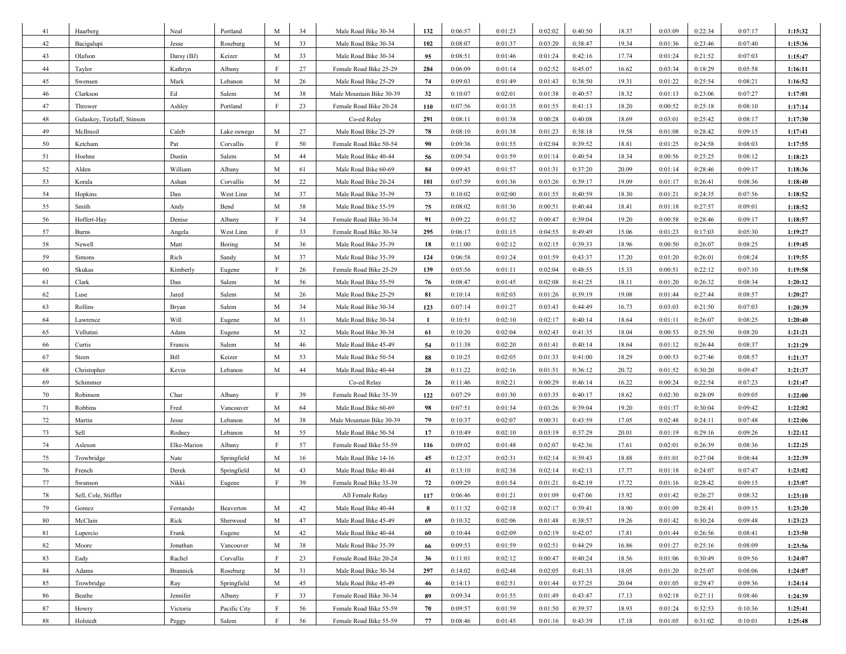| 41     | Haarberg                    | Neal        | Portland     | M           | 34 | Male Road Bike 30-34     | 132 | 0:06:57 | 0:01:23 | 0:02:02 | 0:40:50 | 18.37 | 0:03:09 | 0:22:34 | 0:07:17 | 1:15:32 |
|--------|-----------------------------|-------------|--------------|-------------|----|--------------------------|-----|---------|---------|---------|---------|-------|---------|---------|---------|---------|
| 42     | Bacigalupi                  | Jesse       | Roseburg     | M           | 33 | Male Road Bike 30-34     | 102 | 0:08:07 | 0:01:37 | 0:03:20 | 0:38:47 | 19.34 | 0:01:36 | 0:23:46 | 0:07:40 | 1:15:36 |
| 43     | Olafson                     | Darsy (BJ)  | Keizer       | M           | 33 | Male Road Bike 30-34     | 95  | 0:08:51 | 0:01:46 | 0:01:24 | 0:42:16 | 17.74 | 0:01:24 | 0:21:52 | 0:07:03 | 1:15:47 |
| 44     | Taylor                      | Kathryn     | Albany       | F           | 27 | Female Road Bike 25-29   | 284 | 0:06:09 | 0:01:14 | 0:02:52 | 0:45:07 | 16.62 | 0:03:34 | 0:18:29 | 0:05:58 | 1:16:11 |
| 45     | Swensen                     | Mark        | Lebanon      | M           | 26 | Male Road Bike 25-29     | 74  | 0:09:03 | 0:01:49 | 0:01:43 | 0:38:50 | 19.31 | 0:01:22 | 0:25:54 | 0:08:21 | 1:16:52 |
| 46     | Clarkson                    | Ed          | Salem        | M           | 38 | Male Mountain Bike 30-39 | 32  | 0:10:07 | 0:02:01 | 0:01:38 | 0:40:57 | 18.32 | 0:01:13 | 0:23:06 | 0:07:27 | 1:17:01 |
| 47     | Thrower                     | Ashley      | Portland     | F           | 23 | Female Road Bike 20-24   | 110 | 0:07:56 | 0:01:35 | 0:01:55 | 0:41:13 | 18.20 | 0:00:52 | 0:25:18 | 0:08:10 | 1:17:14 |
| 48     | Gulaskey, Tetzlaff, Stinson |             |              |             |    | Co-ed Relay              | 291 | 0:08:11 | 0:01:38 | 0:00:28 | 0:40:08 | 18.69 | 0:03:01 | 0:25:42 | 0:08:17 | 1:17:30 |
| 49     | McIlmoil                    | Caleb       | Lake oswego  | M           | 27 | Male Road Bike 25-29     | 78  | 0:08:10 | 0:01:38 | 0:01:23 | 0:38:18 | 19.58 | 0:01:08 | 0:28:42 | 0:09:15 | 1:17:41 |
| 50     | Ketcham                     | Pat         | Corvallis    | F           | 50 | Female Road Bike 50-54   | 90  | 0:09:36 | 0:01:55 | 0:02:04 | 0:39:52 | 18.81 | 0:01:25 | 0:24:58 | 0:08:03 | 1:17:55 |
| 51     | Hoehne                      | Dustin      | Salem        | M           | 44 | Male Road Bike 40-44     | 56  | 0:09:54 | 0:01:59 | 0:01:14 | 0:40:54 | 18.34 | 0:00:56 | 0:25:25 | 0:08:12 | 1:18:23 |
| 52     | Alden                       | William     | Albany       | M           | 61 | Male Road Bike 60-69     | 84  | 0:09:45 | 0:01:57 | 0:01:31 | 0:37:20 | 20.09 | 0:01:14 | 0:28:46 | 0:09:17 | 1:18:36 |
| 53     | Korala                      | Ashan       | Corvallis    | M           | 22 | Male Road Bike 20-24     | 101 | 0:07:59 | 0:01:36 | 0:03:26 | 0:39:17 | 19.09 | 0:01:17 | 0:26:41 | 0:08:36 | 1:18:40 |
| 54     | Hopkins                     | Dan         | West Linn    | M           | 37 | Male Road Bike 35-39     | 73  | 0:10:02 | 0:02:00 | 0:01:55 | 0:40:59 | 18.30 | 0:01:21 | 0:24:35 | 0:07:56 | 1:18:52 |
| 55     | Smith                       | Andy        | Bend         | M           | 58 | Male Road Bike 55-59     | 75  | 0:08:02 | 0:01:36 | 0:00:51 | 0:40:44 | 18.41 | 0:01:18 | 0:27:57 | 0:09:01 | 1:18:52 |
| 56     | Hoffert-Hay                 | Denise      | Albany       | F           | 34 | Female Road Bike 30-34   | 91  | 0:09:22 | 0:01:52 | 0:00:47 | 0:39:04 | 19.20 | 0:00:58 | 0:28:46 | 0:09:17 | 1:18:57 |
| 57     | <b>Burns</b>                | Angela      | West Linn    | F           | 33 | Female Road Bike 30-34   | 295 | 0:06:17 | 0:01:15 | 0:04:55 | 0:49:49 | 15.06 | 0:01:23 | 0:17:03 | 0:05:30 | 1:19:27 |
| 58     | Newell                      | Matt        | Boring       | M           | 36 | Male Road Bike 35-39     | 18  | 0:11:00 | 0:02:12 | 0:02:15 | 0:39:33 | 18.96 | 0:00:50 | 0:26:07 | 0:08:25 | 1:19:45 |
| 59     | Simons                      | Rich        | Sandy        | M           | 37 | Male Road Bike 35-39     | 124 | 0:06:58 | 0:01:24 | 0:01:59 | 0:43:37 | 17.20 | 0:01:20 | 0:26:01 | 0:08:24 | 1:19:55 |
| 60     | Skukas                      | Kimberly    | Eugene       | F           | 26 | Female Road Bike 25-29   | 139 | 0:05:56 | 0:01:11 | 0:02:04 | 0:48:55 | 15.33 | 0:00:51 | 0:22:12 | 0:07:10 | 1:19:58 |
| 61     | Clark                       | Dan         | Salem        | M           | 56 | Male Road Bike 55-59     | 76  | 0:08:47 | 0:01:45 | 0:02:08 | 0:41:25 | 18.11 | 0:01:20 | 0:26:32 | 0:08:34 | 1:20:12 |
| 62     | Luse                        | Jared       | Salem        | M           | 26 | Male Road Bike 25-29     | 81  | 0:10:14 | 0:02:03 | 0:01:26 | 0:39:19 | 19.08 | 0:01:44 | 0:27:44 | 0:08:57 | 1:20:27 |
| 63     | Rollins                     | Bryan       | Salem        | M           | 34 | Male Road Bike 30-34     | 123 | 0:07:14 | 0:01:27 | 0:03:43 | 0:44:49 | 16.73 | 0:03:03 | 0:21:50 | 0:07:03 | 1:20:39 |
| 64     | Lawrence                    | Will        | Eugene       | M           | 31 | Male Road Bike 30-34     | -1  | 0:10:51 | 0:02:10 | 0:02:17 | 0:40:14 | 18.64 | 0:01:11 | 0:26:07 | 0:08:25 | 1:20:40 |
| 65     | Vellutini                   | Adam        | Eugene       | M           | 32 | Male Road Bike 30-34     | 61  | 0:10:20 | 0:02:04 | 0:02:43 | 0:41:35 | 18.04 | 0:00:53 | 0:25:50 | 0:08:20 | 1:21:21 |
| 66     | Curtis                      | Francis     | Salem        | M           | 46 | Male Road Bike 45-49     | 54  | 0:11:38 | 0:02:20 | 0:01:41 | 0:40:14 | 18.64 | 0:01:12 | 0:26:44 | 0:08:37 | 1:21:29 |
| 67     | Steen                       | Bill        | Keizer       | M           | 53 | Male Road Bike 50-54     | 88  | 0:10:25 | 0:02:05 | 0:01:33 | 0:41:00 | 18.29 | 0:00:53 | 0:27:46 | 0:08:57 | 1:21:37 |
| 68     | Christopher                 | Kevin       | Lebanon      | M           | 44 | Male Road Bike 40-44     | 28  | 0:11:22 | 0:02:16 | 0:01:51 | 0:36:12 | 20.72 | 0:01:52 | 0:30:20 | 0:09:47 | 1:21:37 |
| 69     | Schimmer                    |             |              |             |    | Co-ed Relay              | 26  | 0:11:46 | 0:02:21 | 0:00:29 | 0:46:14 | 16.22 | 0:00:24 | 0:22:54 | 0:07:23 | 1:21:47 |
| 70     | Robinson                    | Char        | Albany       | F           | 39 | Female Road Bike 35-39   | 122 | 0:07:29 | 0:01:30 | 0:03:35 | 0:40:17 | 18.62 | 0:02:30 | 0:28:09 | 0:09:05 | 1:22:00 |
| 71     | Robbins                     | Fred        | Vancouver    | M           | 64 | Male Road Bike 60-69     | 98  | 0:07:51 | 0:01:34 | 0:03:26 | 0:39:04 | 19.20 | 0:01:37 | 0:30:04 | 0:09:42 | 1:22:02 |
| 72     | Martin                      | Jesse       | Lebanon      | M           | 38 | Male Mountain Bike 30-39 | 79  | 0:10:37 | 0:02:07 | 0:00:31 | 0:43:59 | 17.05 | 0:02:48 | 0:24:11 | 0:07:48 | 1:22:06 |
| 73     | Sell                        | Rodney      | Lebanon      | M           | 55 | Male Road Bike 50-54     | 17  | 0:10:49 | 0:02:10 | 0:03:19 | 0:37:29 | 20.01 | 0:01:19 | 0:29:16 | 0:09:26 | 1:22:12 |
| 74     | Asleson                     | Elke-Marion | Albany       | F           | 57 | Female Road Bike 55-59   | 116 | 0:09:02 | 0:01:48 | 0:02:07 | 0:42:36 | 17.61 | 0:02:01 | 0:26:39 | 0:08:36 | 1:22:25 |
| 75     | Trowbridge                  | Nate        | Springfield  | M           | 16 | Male Road Bike 14-16     | 45  | 0:12:37 | 0:02:31 | 0:02:14 | 0:39:43 | 18.88 | 0:01:01 | 0:27:04 | 0:08:44 | 1:22:39 |
| 76     | French                      | Derek       | Springfield  | M           | 43 | Male Road Bike 40-44     | 41  | 0:13:10 | 0:02:38 | 0:02:14 | 0:42:13 | 17.77 | 0:01:18 | 0:24:07 | 0:07:47 | 1:23:02 |
| 77     | Swanson                     | Nikki       | Eugene       | F           | 39 | Female Road Bike 35-39   | 72  | 0:09:29 | 0:01:54 | 0:01:21 | 0:42:19 | 17.72 | 0:01:16 | 0:28:42 | 0:09:15 | 1:23:07 |
| 78     | Sell, Cole, Stiffler        |             |              |             |    | All Female Relay         | 117 | 0:06:46 | 0:01:21 | 0:01:09 | 0:47:06 | 15.92 | 0:01:42 | 0:26:27 | 0:08:32 | 1:23:10 |
| 79     | Gomez                       | Fernando    | Beaverton    | M           | 42 | Male Road Bike 40-44     | 8   | 0:11:32 | 0:02:18 | 0:02:17 | 0:39:41 | 18.90 | 0:01:09 | 0:28:41 | 0:09:15 | 1:23:20 |
| $80\,$ | McClain                     | Rick        | Sherwood     | $\mathbf M$ | 47 | Male Road Bike 45-49     | 69  | 0:10:32 | 0:02:06 | 0:01:48 | 0:38:57 | 19.26 | 0:01:42 | 0:30:24 | 0:09:48 | 1:23:23 |
| 81     | Lupercio                    | Frank       | Eugene       | M           | 42 | Male Road Bike 40-44     | 60  | 0:10:44 | 0:02:09 | 0:02:19 | 0:42:07 | 17.81 | 0:01:44 | 0:26:56 | 0:08:41 | 1:23:50 |
| 82     | Moore                       | Jonathan    | Vancouver    | M           | 38 | Male Road Bike 35-39     | 66  | 0:09:53 | 0:01:59 | 0:02:51 | 0:44:29 | 16.86 | 0:01:27 | 0:25:16 | 0:08:09 | 1:23:56 |
| 83     | Eady                        | Rachel      | Corvallis    | F           | 23 | Female Road Bike 20-24   | 36  | 0:11:01 | 0:02:12 | 0:00:47 | 0:40:24 | 18.56 | 0:01:06 | 0:30:49 | 0:09:56 | 1:24:07 |
| 84     | Adams                       | Brannick    | Roseburg     | M           | 31 | Male Road Bike 30-34     | 297 | 0:14:02 | 0:02:48 | 0:02:05 | 0:41:33 | 18.05 | 0:01:20 | 0:25:07 | 0:08:06 | 1:24:07 |
| 85     | Trowbridge                  | Ray         | Springfield  | M           | 45 | Male Road Bike 45-49     | 46  | 0:14:13 | 0:02:51 | 0:01:44 | 0:37:25 | 20.04 | 0:01:05 | 0:29:47 | 0:09:36 | 1:24:14 |
| 86     | Beathe                      | Jennifer    | Albany       | F           | 33 | Female Road Bike 30-34   | 89  | 0:09:34 | 0:01:55 | 0:01:49 | 0:43:47 | 17.13 | 0:02:18 | 0:27:11 | 0:08:46 | 1:24:39 |
| 87     | Howry                       | Victoria    | Pacific City | F           | 56 | Female Road Bike 55-59   | 70  | 0:09:57 | 0:01:59 | 0:01:50 | 0:39:37 | 18.93 | 0:01:24 | 0:32:53 | 0:10:36 | 1:25:41 |
| 88     | Holstedt                    | Peggy       | Salem        | F           | 56 | Female Road Bike 55-59   | 77  | 0:08:46 | 0:01:45 | 0:01:16 | 0:43:39 | 17.18 | 0:01:05 | 0:31:02 | 0:10:01 | 1:25:48 |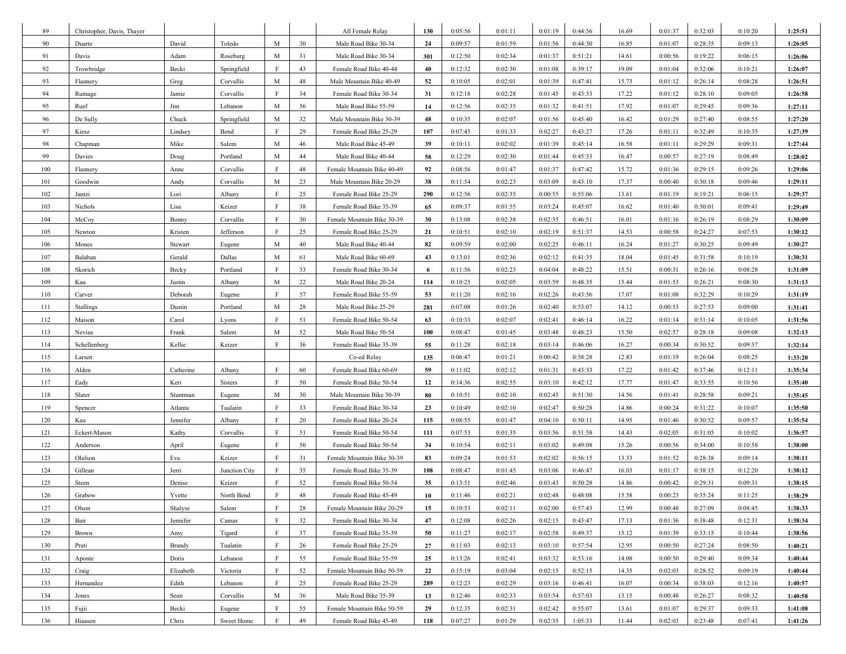| 89  | Christopher, Davis, Thayer |               |               |              |    | All Female Relay           | 130 | 0:05:56 | 0:01:11 | 0:01:19 | 0:44:56 | 16.69 | 0:01:37 | 0:32:03 | 0:10:20 | 1:25:51 |
|-----|----------------------------|---------------|---------------|--------------|----|----------------------------|-----|---------|---------|---------|---------|-------|---------|---------|---------|---------|
| 90  | Duarte                     | David         | Toledo        | M            | 30 | Male Road Bike 30-34       | 24  | 0:09:57 | 0:01:59 | 0:01:56 | 0:44:30 | 16.85 | 0:01:07 | 0:28:35 | 0:09:13 | 1:26:05 |
| 91  | Davis                      | Adam          | Roseburg      | M            | 31 | Male Road Bike 30-34       | 301 | 0:12:50 | 0:02:34 | 0:01:37 | 0:51:21 | 14.61 | 0:00:56 | 0:19:22 | 0:06:15 | 1:26:06 |
| 92  | Trowbridge                 | Becki         | Springfield   | F            | 43 | Female Road Bike 40-44     | 40  | 0:12:32 | 0:02:30 | 0:01:08 | 0:39:17 | 19.09 | 0:01:04 | 0:32:06 | 0:10:21 | 1:26:07 |
| 93  | Flannery                   | Greg          | Corvallis     | М            | 48 | Male Mountain Bike 40-49   | 52  | 0:10:05 | 0:02:01 | 0:01:39 | 0:47:41 | 15.73 | 0:01:12 | 0:26:14 | 0:08:28 | 1:26:51 |
| 94  | Rumage                     | Jamie         | Corvallis     | F            | 34 | Female Road Bike 30-34     | 31  | 0:12:18 | 0:02:28 | 0:01:45 | 0:43:33 | 17.22 | 0:01:12 | 0:28:10 | 0:09:05 | 1:26:58 |
| 95  | Ruef                       | Jim           | Lebanon       | М            | 56 | Male Road Bike 55-59       | 14  | 0:12:56 | 0:02:35 | 0:01:32 | 0:41:51 | 17.92 | 0:01:07 | 0:29:45 | 0:09:36 | 1:27:11 |
| 96  | De Sully                   | Chuck         | Springfield   | M            | 32 | Male Mountain Bike 30-39   | 48  | 0:10:35 | 0:02:07 | 0:01:56 | 0:45:40 | 16.42 | 0:01:29 | 0:27:40 | 0:08:55 | 1:27:20 |
| 97  | Kiesz                      | Lindsey       | Bend          | F            | 29 | Female Road Bike 25-29     | 107 | 0:07:45 | 0:01:33 | 0:02:27 | 0:43:27 | 17.26 | 0:01:11 | 0:32:49 | 0:10:35 | 1:27:39 |
| 98  | Chapman                    | Mike          | Salem         | М            | 46 | Male Road Bike 45-49       | 39  | 0:10:11 | 0:02:02 | 0:01:39 | 0:45:14 | 16.58 | 0:01:11 | 0:29:29 | 0:09:31 | 1:27:44 |
| 99  | Davies                     | Doug          | Portland      | M            | 44 | Male Road Bike 40-44       | 58  | 0:12:29 | 0:02:30 | 0:01:44 | 0:45:33 | 16.47 | 0:00:57 | 0:27:19 | 0:08:49 | 1:28:02 |
| 100 | Flannery                   | Anne          | Corvallis     | F            | 48 | Female Mountain Bike 40-49 | 92  | 0:08:56 | 0:01:47 | 0:01:37 | 0:47:42 | 15.72 | 0:01:36 | 0:29:15 | 0:09:26 | 1:29:06 |
| 101 | Goodwin                    | Andy          | Corvallis     | M            | 23 | Male Mountain Bike 20-29   | 38  | 0:11:54 | 0:02:23 | 0:03:09 | 0:43:10 | 17.37 | 0:00:40 | 0:30:18 | 0:09:46 | 1:29:11 |
| 102 | Jantzi                     | Lori          | Albany        | F            | 25 | Female Road Bike 25-29     | 290 | 0:12:56 | 0:02:35 | 0:00:55 | 0:55:06 | 13.61 | 0:01:19 | 0:19:21 | 0:06:15 | 1:29:37 |
| 103 | Nichols                    | Lisa          | Keizer        | F            | 38 | Female Road Bike 35-39     | 65  | 0:09:37 | 0:01:55 | 0:03:24 | 0:45:07 | 16.62 | 0:01:40 | 0:30:01 | 0:09:41 | 1:29:49 |
| 104 | McCoy                      | Bonny         | Corvallis     | $\mathbf{F}$ | 30 | Female Mountain Bike 30-39 | 30  | 0:13:08 | 0:02:38 | 0:02:35 | 0:46:51 | 16.01 | 0:01:16 | 0:26:19 | 0:08:29 | 1:30:09 |
| 105 | Newton                     | Kristen       | Jefferson     | F            | 25 | Female Road Bike 25-29     | 21  | 0:10:51 | 0:02:10 | 0:02:19 | 0:51:37 | 14.53 | 0:00:58 | 0:24:27 | 0:07:53 | 1:30:12 |
| 106 | Mones                      | Stewart       | Eugene        | M            | 40 | Male Road Bike 40-44       | 82  | 0:09:59 | 0:02:00 | 0:02:25 | 0:46:11 | 16.24 | 0:01:27 | 0:30:25 | 0:09:49 | 1:30:27 |
| 107 | Balaban                    | Gerald        | Dallas        | M            | 61 | Male Road Bike 60-69       | 43  | 0:13:01 | 0:02:36 | 0:02:12 | 0:41:35 | 18.04 | 0:01:45 | 0:31:58 | 0:10:19 | 1:30:31 |
| 108 | Skorich                    | Becky         | Portland      | F            | 33 | Female Road Bike 30-34     | 6   | 0:11:56 | 0:02:23 | 0:04:04 | 0:48:22 | 15.51 | 0:00:31 | 0:26:16 | 0:08:28 | 1:31:09 |
| 109 | Kau                        | Justin        | Albany        | M            | 22 | Male Road Bike 20-24       | 114 | 0:10:25 | 0:02:05 | 0:03:59 | 0:48:35 | 15.44 | 0:01:53 | 0:26:21 | 0:08:30 | 1:31:13 |
| 110 | Carver                     | Deborah       | Eugene        | F            | 57 | Female Road Bike 55-59     | 53  | 0:11:20 | 0:02:16 | 0:02:26 | 0:43:56 | 17.07 | 0:01:08 | 0:32:29 | 0:10:29 | 1:31:19 |
| 111 | Stallings                  | Dustin        | Portland      | M            | 28 | Male Road Bike 25-29       | 281 | 0:07:08 | 0:01:26 | 0:02:40 | 0:53:07 | 14.12 | 0:00:53 | 0:27:53 | 0:09:00 | 1:31:41 |
| 112 | Maison                     | Carol         | Lyons         | F            | 51 | Female Road Bike 50-54     | 63  | 0:10:33 | 0:02:07 | 0:02:41 | 0:46:14 | 16.22 | 0:01:14 | 0:31:14 | 0:10:05 | 1:31:56 |
| 113 | Nevius                     | Frank         | Salem         | M            | 52 | Male Road Bike 50-54       | 100 | 0:08:47 | 0:01:45 | 0:03:48 | 0:48:23 | 15.50 | 0:02:57 | 0:28:18 | 0:09:08 | 1:32:13 |
| 114 | Schellenberg               | Kellie        | Keizer        | F            | 36 | Female Road Bike 35-39     | 55  | 0:11:28 | 0:02:18 | 0:03:14 | 0:46:06 | 16.27 | 0:00:34 | 0:30:52 | 0:09:57 | 1:32:14 |
| 115 | Larsen                     |               |               |              |    | Co-ed Relay                | 135 | 0:06:47 | 0:01:21 | 0:00:42 | 0:58:28 | 12.83 | 0:01:19 | 0:26:04 | 0:08:25 | 1:33:20 |
| 116 | Alden                      | Catherine     | Albany        | F            | 60 | Female Road Bike 60-69     | 59  | 0:11:02 | 0:02:12 | 0:01:31 | 0:43:33 | 17.22 | 0:01:42 | 0:37:46 | 0:12:11 | 1:35:34 |
| 117 | Eady                       | Keri          | Sisters       | F            | 50 | Female Road Bike 50-54     | 12  | 0:14:36 | 0:02:55 | 0:03:10 | 0:42:12 | 17.77 | 0:01:47 | 0:33:55 | 0:10:56 | 1:35:40 |
| 118 | Slater                     | Stuntman      | Eugene        | M            | 30 | Male Mountain Bike 30-39   | 80  | 0:10:51 | 0:02:10 | 0:02:45 | 0:51:30 | 14.56 | 0:01:41 | 0:28:58 | 0:09:21 | 1:35:45 |
| 119 | Spencer                    | Atlanta       | Tualatin      | F            | 33 | Female Road Bike 30-34     | 23  | 0:10:49 | 0:02:10 | 0:02:47 | 0:50:28 | 14.86 | 0:00:24 | 0:31:22 | 0:10:07 | 1:35:50 |
| 120 | Kau                        | Jennifer      | Albany        | F            | 20 | Female Road Bike 20-24     | 115 | 0:08:55 | 0:01:47 | 0:04:10 | 0:50:11 | 14.95 | 0:01:46 | 0:30:52 | 0:09:57 | 1:35:54 |
| 121 | Eckert-Mason               | Kathy         | Corvallis     | F            | 51 | Female Road Bike 50-54     | 111 | 0:07:53 | 0:01:35 | 0:03:56 | 0:51:58 | 14.43 | 0:02:05 | 0:31:05 | 0:10:02 | 1:36:57 |
| 122 | Anderson                   | April         | Eugene        | F            | 50 | Female Road Bike 50-54     | 34  | 0:10:54 | 0:02:11 | 0:03:02 | 0:49:08 | 15.26 | 0:00:56 | 0:34:00 | 0:10:58 | 1:38:00 |
| 123 | Olafson                    | Eva           | Keizer        | F            | 31 | Female Mountain Bike 30-39 | 83  | 0:09:24 | 0:01:53 | 0:02:02 | 0:56:15 | 13.33 | 0:01:52 | 0:28:38 | 0:09:14 | 1:38:11 |
| 124 | Gillean                    | Jerri         | Junction City | F            | 35 | Female Road Bike 35-39     | 108 | 0:08:47 | 0:01:45 | 0:03:06 | 0:46:47 | 16.03 | 0:01:17 | 0:38:15 | 0:12:20 | 1:38:12 |
| 125 | Steen                      | Denise        | Keizer        | F            | 52 | Female Road Bike 50-54     | 35  | 0:13:51 | 0:02:46 | 0:03:43 | 0:50:28 | 14.86 | 0:00:42 | 0:29:31 | 0:09:31 | 1:38:15 |
| 126 | Grabow                     | Yvette        | North Bend    | F            | 48 | Female Road Bike 45-49     | 10  | 0:11:46 | 0:02:21 | 0:02:48 | 0:48:08 | 15.58 | 0:00:23 | 0:35:24 | 0:11:25 | 1:38:29 |
| 127 | Olson                      | Shalyse       | Salem         | F            | 28 | Female Mountain Bike 20-29 | 15  | 0:10:53 | 0:02:11 | 0:02:00 | 0:57:43 | 12.99 | 0:00:48 | 0:27:09 | 0:08:45 | 1:38:33 |
| 128 | Bair                       | Jennifer      | Camas         | $\rm F$      | 32 | Female Road Bike 30-34     | 47  | 0:12:08 | 0:02:26 | 0:02:15 | 0:43:47 | 17.13 | 0:01:36 | 0:38:48 | 0:12:31 | 1:38:34 |
| 129 | Brown                      | Amy           | Tigard        | $\mathbf F$  | 37 | Female Road Bike 35-39     | 50  | 0:11:27 | 0:02:17 | 0:02:58 | 0:49:37 | 15.12 | 0:01:39 | 0:33:15 | 0:10:44 | 1:38:56 |
| 130 | Prati                      | <b>Brandy</b> | Tualatin      | F            | 26 | Female Road Bike 25-29     | 27  | 0:11:03 | 0:02:13 | 0:03:10 | 0:57:54 | 12.95 | 0:00:50 | 0:27:24 | 0:08:50 | 1:40:21 |
| 131 | Aponte                     | Doris         | Lebanon       | $\rm F$      | 55 | Female Road Bike 55-59     | 25  | 0:13:26 | 0:02:41 | 0:03:32 | 0:53:16 | 14.08 | 0:00:50 | 0:29:40 | 0:09:34 | 1:40:44 |
| 132 | Craig                      | Elizabeth     | Victoria      | F            | 52 | Female Mountain Bike 50-59 | 22  | 0:15:19 | 0:03:04 | 0:02:15 | 0:52:15 | 14.35 | 0:02:03 | 0:28:52 | 0:09:19 | 1:40:44 |
| 133 | Hernandez                  | Edith         | Lebanon       | F            | 25 | Female Road Bike 25-29     | 289 | 0:12:23 | 0:02:29 | 0:03:16 | 0:46:41 | 16.07 | 0:00:34 | 0:38:03 | 0:12:16 | 1:40:57 |
| 134 | Jones                      | Sean          | Corvallis     | M            | 36 | Male Road Bike 35-39       | 13  | 0:12:46 | 0:02:33 | 0:03:54 | 0:57:03 | 13.15 | 0:00:48 | 0:26:27 | 0:08:32 | 1:40:58 |
| 135 | Fujii                      | Becki         | Eugene        | $\mathbf F$  | 55 | Female Mountain Bike 50-59 | 29  | 0:12:35 | 0:02:31 | 0:02:42 | 0:55:07 | 13.61 | 0:01:07 | 0:29:37 | 0:09:33 | 1:41:08 |
| 136 | Hiaasen                    | Chris         | Sweet Home    | F            | 49 | Female Road Bike 45-49     | 118 | 0:07:27 | 0:01:29 | 0:02:35 | 1:05:33 | 11.44 | 0:02:03 | 0:23:48 | 0:07:41 | 1:41:26 |